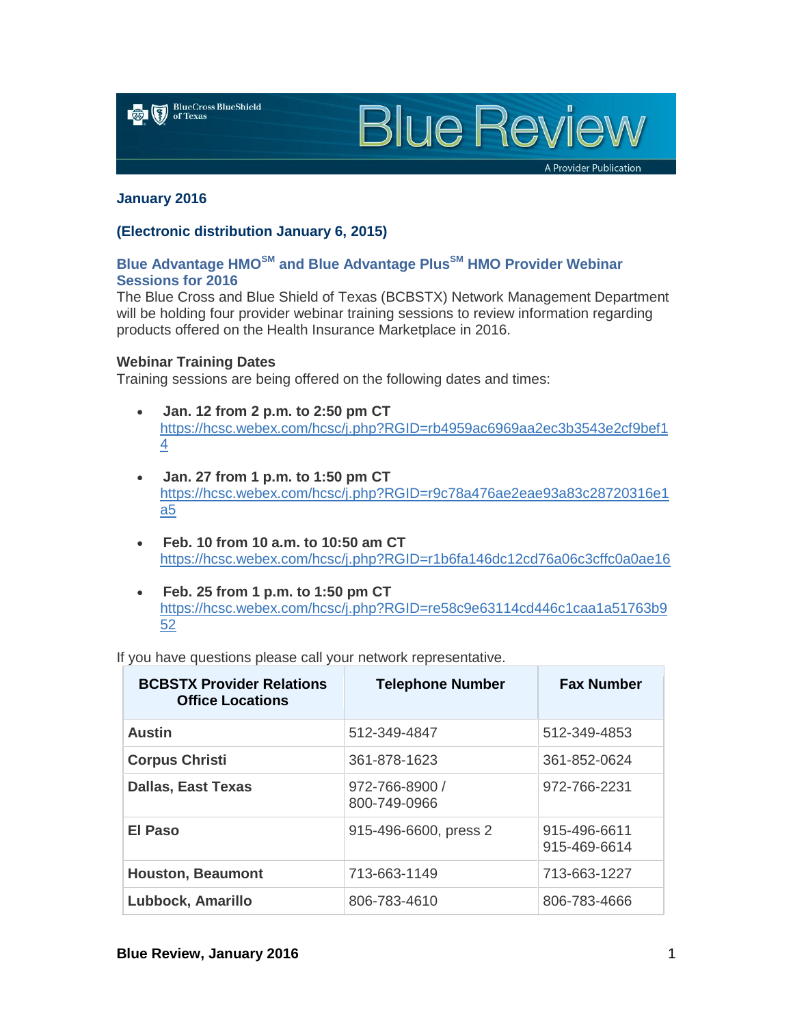

**Blue Review** 

A Provider Publication

### **January 2016**

### **(Electronic distribution January 6, 2015)**

# **Blue Advantage HMOSM and Blue Advantage PlusSM HMO Provider Webinar Sessions for 2016**

The Blue Cross and Blue Shield of Texas (BCBSTX) Network Management Department will be holding four provider webinar training sessions to review information regarding products offered on the Health Insurance Marketplace in 2016.

### **Webinar Training Dates**

Training sessions are being offered on the following dates and times:

- **Jan. 12 from 2 p.m. to 2:50 pm CT** [https://hcsc.webex.com/hcsc/j.php?RGID=rb4959ac6969aa2ec3b3543e2cf9bef1](https://hcsc.webex.com/hcsc/j.php?RGID=rb4959ac6969aa2ec3b3543e2cf9bef14) [4](https://hcsc.webex.com/hcsc/j.php?RGID=rb4959ac6969aa2ec3b3543e2cf9bef14)
- **Jan. 27 from 1 p.m. to 1:50 pm CT** [https://hcsc.webex.com/hcsc/j.php?RGID=r9c78a476ae2eae93a83c28720316e1](https://hcsc.webex.com/hcsc/j.php?RGID=r9c78a476ae2eae93a83c28720316e1a5) [a5](https://hcsc.webex.com/hcsc/j.php?RGID=r9c78a476ae2eae93a83c28720316e1a5)
- **Feb. 10 from 10 a.m. to 10:50 am CT** <https://hcsc.webex.com/hcsc/j.php?RGID=r1b6fa146dc12cd76a06c3cffc0a0ae16>
- **Feb. 25 from 1 p.m. to 1:50 pm CT** [https://hcsc.webex.com/hcsc/j.php?RGID=re58c9e63114cd446c1caa1a51763b9](https://hcsc.webex.com/hcsc/j.php?RGID=re58c9e63114cd446c1caa1a51763b952) [52](https://hcsc.webex.com/hcsc/j.php?RGID=re58c9e63114cd446c1caa1a51763b952)

If you have questions please call your network representative.

| <b>BCBSTX Provider Relations</b><br><b>Office Locations</b> | <b>Telephone Number</b>        | <b>Fax Number</b>            |
|-------------------------------------------------------------|--------------------------------|------------------------------|
| <b>Austin</b>                                               | 512-349-4847                   | 512-349-4853                 |
| <b>Corpus Christi</b>                                       | 361-878-1623                   | 361-852-0624                 |
| <b>Dallas, East Texas</b>                                   | 972-766-8900 /<br>800-749-0966 | 972-766-2231                 |
| El Paso                                                     | 915-496-6600, press 2          | 915-496-6611<br>915-469-6614 |
| <b>Houston, Beaumont</b>                                    | 713-663-1149                   | 713-663-1227                 |
| Lubbock, Amarillo                                           | 806-783-4610                   | 806-783-4666                 |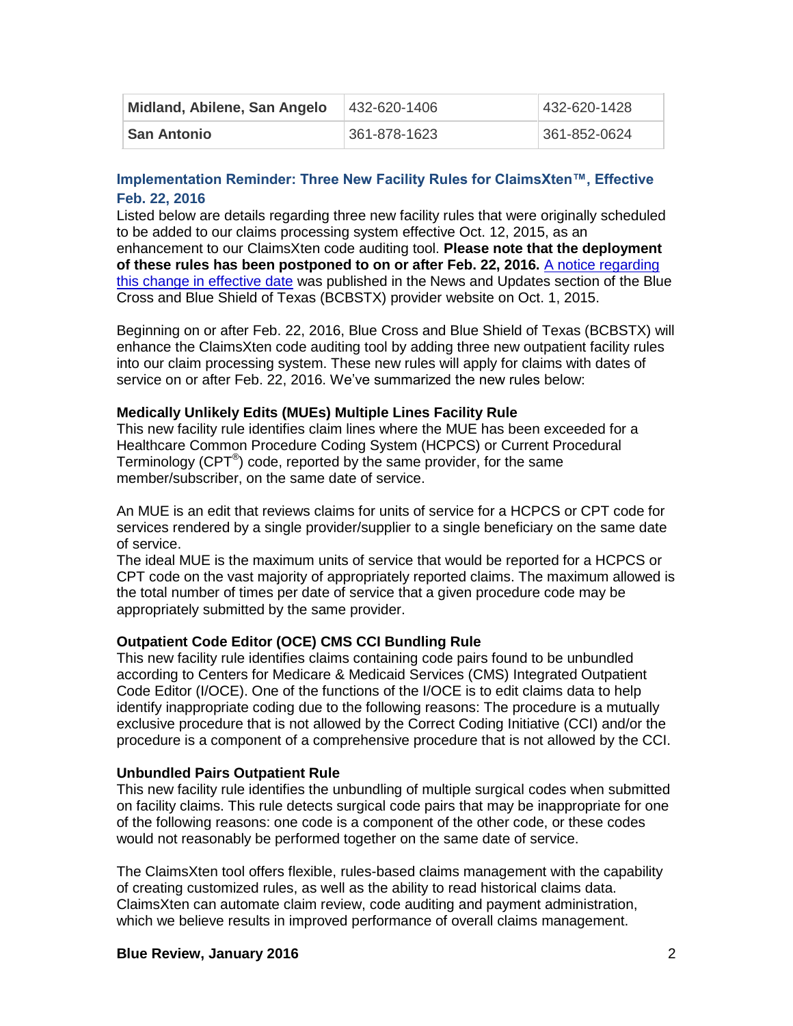| Midland, Abilene, San Angelo | 432-620-1406 | 432-620-1428 |
|------------------------------|--------------|--------------|
| <b>San Antonio</b>           | 361-878-1623 | 361-852-0624 |

# **Implementation Reminder: Three New Facility Rules for ClaimsXten™, Effective Feb. 22, 2016**

Listed below are details regarding three new facility rules that were originally scheduled to be added to our claims processing system effective Oct. 12, 2015, as an enhancement to our ClaimsXten code auditing tool. **Please note that the deployment of these rules has been postponed to on or after Feb. 22, 2016.** [A notice regarding](http://www.bcbstx.com/provider/news/2015_07_13.html)  [this change in effective date](http://www.bcbstx.com/provider/news/2015_07_13.html) was published in the News and Updates section of the Blue Cross and Blue Shield of Texas (BCBSTX) provider website on Oct. 1, 2015.

Beginning on or after Feb. 22, 2016, Blue Cross and Blue Shield of Texas (BCBSTX) will enhance the ClaimsXten code auditing tool by adding three new outpatient facility rules into our claim processing system. These new rules will apply for claims with dates of service on or after Feb. 22, 2016. We've summarized the new rules below:

## **Medically Unlikely Edits (MUEs) Multiple Lines Facility Rule**

This new facility rule identifies claim lines where the MUE has been exceeded for a Healthcare Common Procedure Coding System (HCPCS) or Current Procedural Terminology (CPT $^{\circledast}$ ) code, reported by the same provider, for the same member/subscriber, on the same date of service.

An MUE is an edit that reviews claims for units of service for a HCPCS or CPT code for services rendered by a single provider/supplier to a single beneficiary on the same date of service.

The ideal MUE is the maximum units of service that would be reported for a HCPCS or CPT code on the vast majority of appropriately reported claims. The maximum allowed is the total number of times per date of service that a given procedure code may be appropriately submitted by the same provider.

## **Outpatient Code Editor (OCE) CMS CCI Bundling Rule**

This new facility rule identifies claims containing code pairs found to be unbundled according to Centers for Medicare & Medicaid Services (CMS) Integrated Outpatient Code Editor (I/OCE). One of the functions of the I/OCE is to edit claims data to help identify inappropriate coding due to the following reasons: The procedure is a mutually exclusive procedure that is not allowed by the Correct Coding Initiative (CCI) and/or the procedure is a component of a comprehensive procedure that is not allowed by the CCI.

## **Unbundled Pairs Outpatient Rule**

This new facility rule identifies the unbundling of multiple surgical codes when submitted on facility claims. This rule detects surgical code pairs that may be inappropriate for one of the following reasons: one code is a component of the other code, or these codes would not reasonably be performed together on the same date of service.

The ClaimsXten tool offers flexible, rules-based claims management with the capability of creating customized rules, as well as the ability to read historical claims data. ClaimsXten can automate claim review, code auditing and payment administration, which we believe results in improved performance of overall claims management.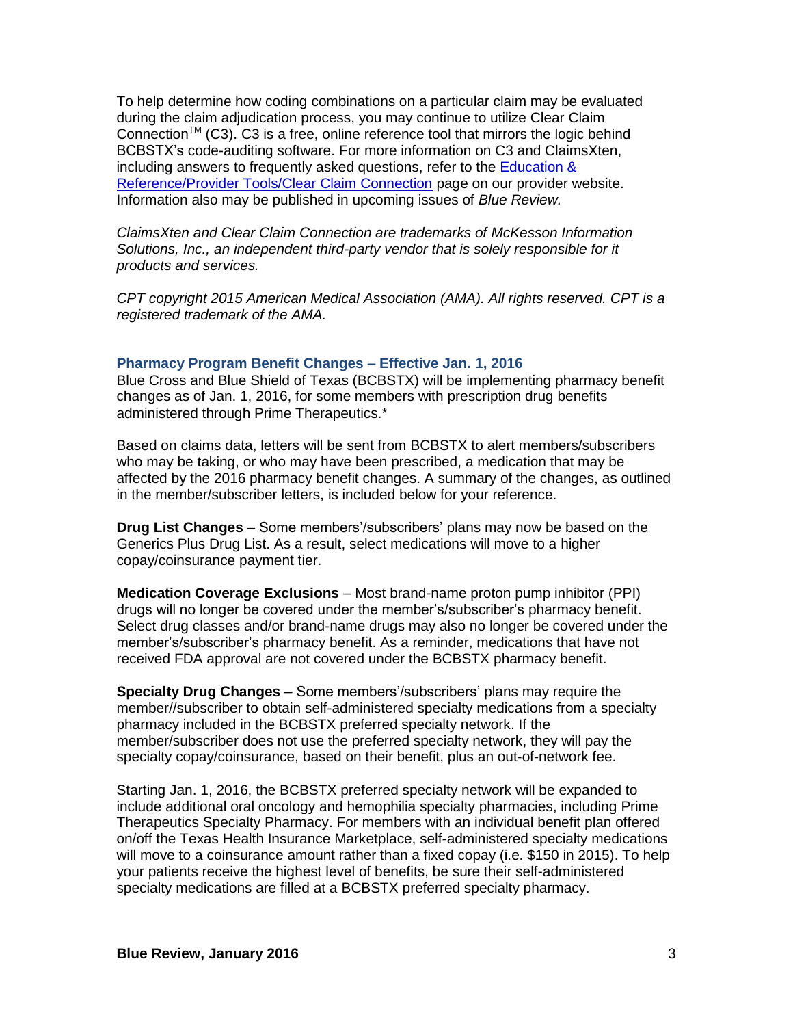To help determine how coding combinations on a particular claim may be evaluated during the claim adjudication process, you may continue to utilize Clear Claim Connection<sup>TM</sup> (C3). C3 is a free, online reference tool that mirrors the logic behind BCBSTX's code-auditing software. For more information on C3 and ClaimsXten, including answers to frequently asked questions, refer to the [Education &](http://www.bcbstx.com/provider/tools/clear_claim_connection.html)  [Reference/Provider Tools/Clear Claim Connection](http://www.bcbstx.com/provider/tools/clear_claim_connection.html) page on our provider website. Information also may be published in upcoming issues of *Blue Review.*

*ClaimsXten and Clear Claim Connection are trademarks of McKesson Information Solutions, Inc., an independent third-party vendor that is solely responsible for it products and services.*

*CPT copyright 2015 American Medical Association (AMA). All rights reserved. CPT is a registered trademark of the AMA.*

#### **Pharmacy Program Benefit Changes – Effective Jan. 1, 2016**

Blue Cross and Blue Shield of Texas (BCBSTX) will be implementing pharmacy benefit changes as of Jan. 1, 2016, for some members with prescription drug benefits administered through Prime Therapeutics.\*

Based on claims data, letters will be sent from BCBSTX to alert members/subscribers who may be taking, or who may have been prescribed, a medication that may be affected by the 2016 pharmacy benefit changes. A summary of the changes, as outlined in the member/subscriber letters, is included below for your reference.

**Drug List Changes** – Some members'/subscribers' plans may now be based on the Generics Plus Drug List. As a result, select medications will move to a higher copay/coinsurance payment tier.

**Medication Coverage Exclusions** – Most brand-name proton pump inhibitor (PPI) drugs will no longer be covered under the member's/subscriber's pharmacy benefit. Select drug classes and/or brand-name drugs may also no longer be covered under the member's/subscriber's pharmacy benefit. As a reminder, medications that have not received FDA approval are not covered under the BCBSTX pharmacy benefit.

**Specialty Drug Changes** – Some members'/subscribers' plans may require the member//subscriber to obtain self-administered specialty medications from a specialty pharmacy included in the BCBSTX preferred specialty network. If the member/subscriber does not use the preferred specialty network, they will pay the specialty copay/coinsurance, based on their benefit, plus an out-of-network fee.

Starting Jan. 1, 2016, the BCBSTX preferred specialty network will be expanded to include additional oral oncology and hemophilia specialty pharmacies, including Prime Therapeutics Specialty Pharmacy. For members with an individual benefit plan offered on/off the Texas Health Insurance Marketplace, self-administered specialty medications will move to a coinsurance amount rather than a fixed copay (i.e. \$150 in 2015). To help your patients receive the highest level of benefits, be sure their self-administered specialty medications are filled at a BCBSTX preferred specialty pharmacy.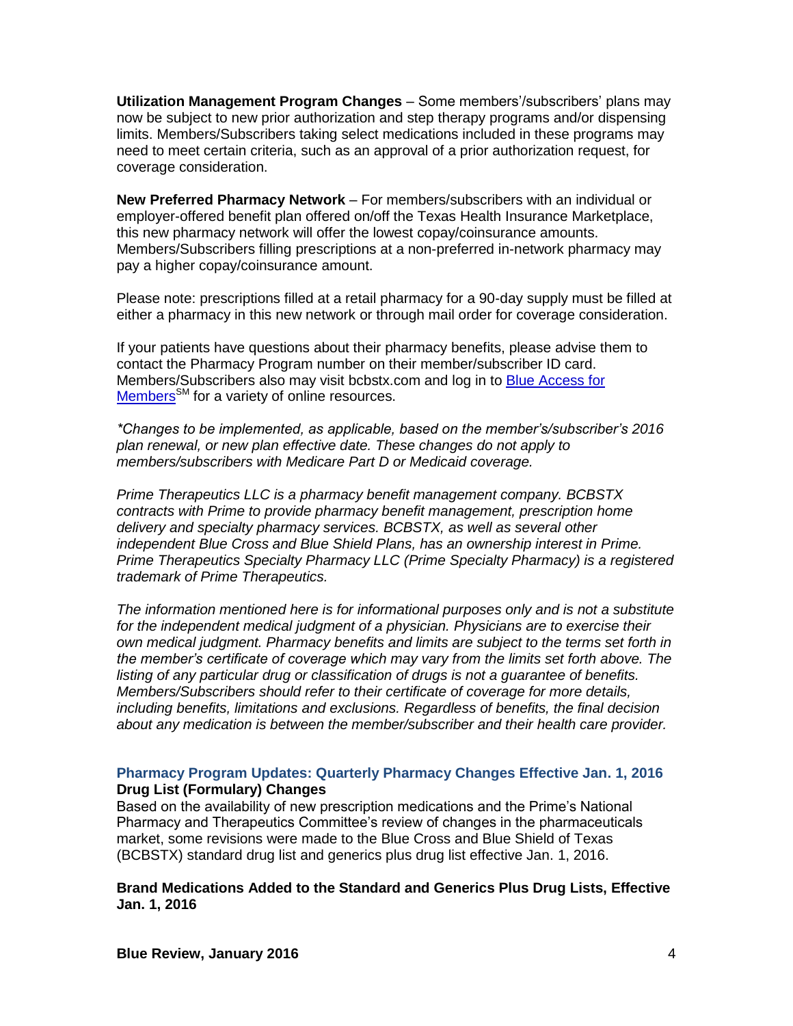**Utilization Management Program Changes** – Some members'/subscribers' plans may now be subject to new prior authorization and step therapy programs and/or dispensing limits. Members/Subscribers taking select medications included in these programs may need to meet certain criteria, such as an approval of a prior authorization request, for coverage consideration.

**New Preferred Pharmacy Network** – For members/subscribers with an individual or employer-offered benefit plan offered on/off the Texas Health Insurance Marketplace, this new pharmacy network will offer the lowest copay/coinsurance amounts. Members/Subscribers filling prescriptions at a non-preferred in-network pharmacy may pay a higher copay/coinsurance amount.

Please note: prescriptions filled at a retail pharmacy for a 90-day supply must be filled at either a pharmacy in this new network or through mail order for coverage consideration.

If your patients have questions about their pharmacy benefits, please advise them to contact the Pharmacy Program number on their member/subscriber ID card. Members/Subscribers also may visit bcbstx.com and log in to [Blue Access for](http://www.bcbstx.com/)  [Members](http://www.bcbstx.com/)<sup>SM</sup> for a variety of online resources.

*\*Changes to be implemented, as applicable, based on the member's/subscriber's 2016 plan renewal, or new plan effective date. These changes do not apply to members/subscribers with Medicare Part D or Medicaid coverage.*

*Prime Therapeutics LLC is a pharmacy benefit management company. BCBSTX contracts with Prime to provide pharmacy benefit management, prescription home delivery and specialty pharmacy services. BCBSTX, as well as several other independent Blue Cross and Blue Shield Plans, has an ownership interest in Prime. Prime Therapeutics Specialty Pharmacy LLC (Prime Specialty Pharmacy) is a registered trademark of Prime Therapeutics.*

*The information mentioned here is for informational purposes only and is not a substitute*  for the independent medical judgment of a physician. Physicians are to exercise their *own medical judgment. Pharmacy benefits and limits are subject to the terms set forth in the member's certificate of coverage which may vary from the limits set forth above. The listing of any particular drug or classification of drugs is not a guarantee of benefits. Members/Subscribers should refer to their certificate of coverage for more details, including benefits, limitations and exclusions. Regardless of benefits, the final decision about any medication is between the member/subscriber and their health care provider.*

## **Pharmacy Program Updates: Quarterly Pharmacy Changes Effective Jan. 1, 2016 Drug List (Formulary) Changes**

Based on the availability of new prescription medications and the Prime's National Pharmacy and Therapeutics Committee's review of changes in the pharmaceuticals market, some revisions were made to the Blue Cross and Blue Shield of Texas (BCBSTX) standard drug list and generics plus drug list effective Jan. 1, 2016.

**Brand Medications Added to the Standard and Generics Plus Drug Lists, Effective Jan. 1, 2016**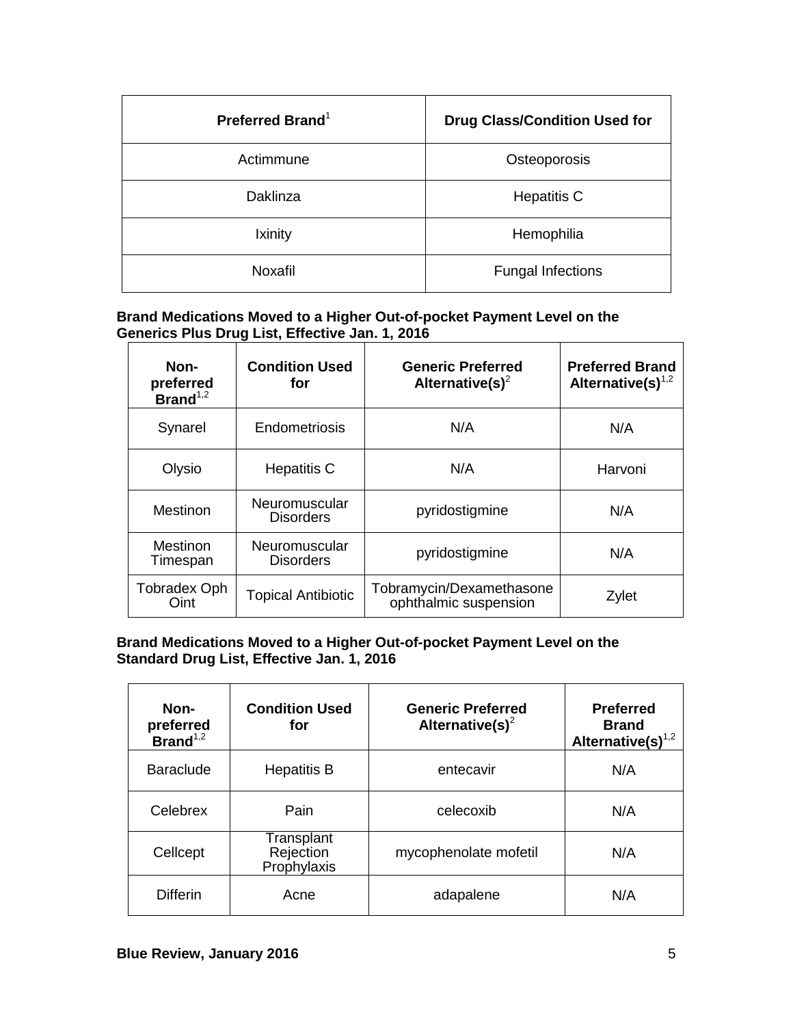| Preferred Brand <sup>1</sup> | <b>Drug Class/Condition Used for</b> |
|------------------------------|--------------------------------------|
| Actimmune                    | Osteoporosis                         |
| Daklinza                     | <b>Hepatitis C</b>                   |
| Ixinity                      | Hemophilia                           |
| Noxafil                      | <b>Fungal Infections</b>             |

## **Brand Medications Moved to a Higher Out-of-pocket Payment Level on the Generics Plus Drug List, Effective Jan. 1, 2016**

| Non-<br>preferred<br>Brand $1,2$ | <b>Condition Used</b><br>for      | <b>Generic Preferred</b><br>Alternative(s) <sup>2</sup> | <b>Preferred Brand</b><br>Alternative(s) $1,2$ |
|----------------------------------|-----------------------------------|---------------------------------------------------------|------------------------------------------------|
| Synarel                          | Endometriosis                     | N/A                                                     | N/A                                            |
| Olysio                           | <b>Hepatitis C</b>                | N/A                                                     | Harvoni                                        |
| Mestinon                         | Neuromuscular<br><b>Disorders</b> | pyridostigmine                                          | N/A                                            |
| <b>Mestinon</b><br>Timespan      | Neuromuscular<br><b>Disorders</b> | pyridostigmine                                          | N/A                                            |
| <b>Tobradex Oph</b><br>Oint      | <b>Topical Antibiotic</b>         | Tobramycin/Dexamethasone<br>ophthalmic suspension       | Zylet                                          |

# **Brand Medications Moved to a Higher Out-of-pocket Payment Level on the Standard Drug List, Effective Jan. 1, 2016**

| Non-<br>preferred<br>$Brand^{1,2}$ | <b>Condition Used</b><br>for                  | <b>Generic Preferred</b><br>Alternative(s) <sup>2</sup> | <b>Preferred</b><br><b>Brand</b><br>Alternative(s) $1,2$ |
|------------------------------------|-----------------------------------------------|---------------------------------------------------------|----------------------------------------------------------|
| <b>Baraclude</b>                   | <b>Hepatitis B</b>                            | entecavir                                               | N/A                                                      |
| Celebrex                           | Pain                                          | celecoxib                                               | N/A                                                      |
| Cellcept                           | <b>Transplant</b><br>Rejection<br>Prophylaxis | mycophenolate mofetil                                   | N/A                                                      |
| <b>Differin</b>                    | Acne                                          | adapalene                                               | N/A                                                      |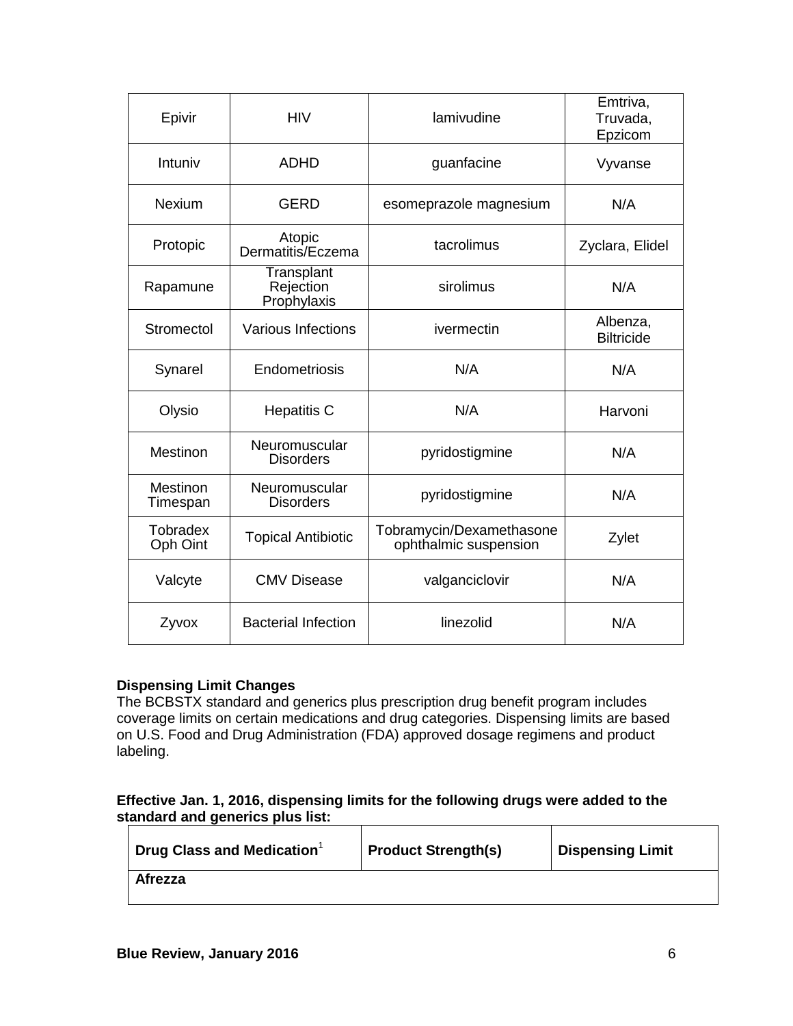| Epivir                      | <b>HIV</b>                             | lamivudine                                        | Emtriva,<br>Truvada,<br>Epzicom |
|-----------------------------|----------------------------------------|---------------------------------------------------|---------------------------------|
| Intuniv                     | <b>ADHD</b>                            | guanfacine                                        | Vyvanse                         |
| <b>Nexium</b>               | <b>GERD</b>                            | esomeprazole magnesium                            | N/A                             |
| Protopic                    | Atopic<br>Dermatitis/Eczema            | tacrolimus                                        | Zyclara, Elidel                 |
| Rapamune                    | Transplant<br>Rejection<br>Prophylaxis | sirolimus                                         | N/A                             |
| Stromectol                  | <b>Various Infections</b>              | ivermectin                                        | Albenza,<br><b>Biltricide</b>   |
| Synarel                     | Endometriosis                          | N/A                                               | N/A                             |
| Olysio                      | <b>Hepatitis C</b>                     | N/A                                               | Harvoni                         |
| Mestinon                    | Neuromuscular<br><b>Disorders</b>      | pyridostigmine                                    | N/A                             |
| Mestinon<br>Timespan        | Neuromuscular<br><b>Disorders</b>      | pyridostigmine                                    | N/A                             |
| <b>Tobradex</b><br>Oph Oint | <b>Topical Antibiotic</b>              | Tobramycin/Dexamethasone<br>ophthalmic suspension | Zylet                           |
| Valcyte                     | <b>CMV Disease</b>                     | valganciclovir                                    | N/A                             |
| Zyvox                       | <b>Bacterial Infection</b>             | linezolid                                         | N/A                             |

## **Dispensing Limit Changes**

The BCBSTX standard and generics plus prescription drug benefit program includes coverage limits on certain medications and drug categories. Dispensing limits are based on U.S. Food and Drug Administration (FDA) approved dosage regimens and product labeling.

## **Effective Jan. 1, 2016, dispensing limits for the following drugs were added to the standard and generics plus list:**

| $\parallel$ Drug Class and Medication $^1$ | <b>Product Strength(s)</b> | <b>Dispensing Limit</b> |
|--------------------------------------------|----------------------------|-------------------------|
| Afrezza                                    |                            |                         |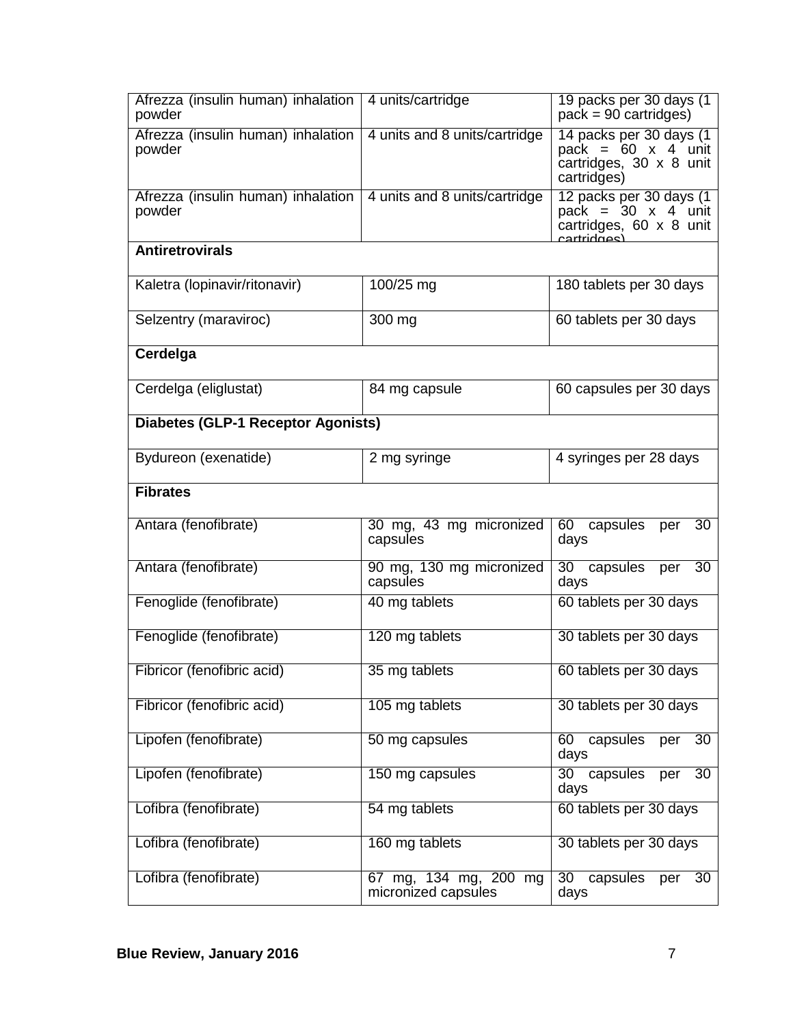| Afrezza (insulin human) inhalation<br>powder | 4 units/cartridge                            | 19 packs per 30 days (1)<br>$pack = 90$ cartridges)                                                   |
|----------------------------------------------|----------------------------------------------|-------------------------------------------------------------------------------------------------------|
| Afrezza (insulin human) inhalation<br>powder | 4 units and 8 units/cartridge                | 14 packs per 30 days (1<br>pack = $60 \times 4$ unit<br>cartridges, 30 x 8 unit<br>cartridges)        |
| Afrezza (insulin human) inhalation<br>powder | 4 units and 8 units/cartridge                | 12 packs per 30 days (1<br>pack = $30 \times 4$ unit<br>cartridges, 60 x 8 unit<br><u>rartridges)</u> |
| <b>Antiretrovirals</b>                       |                                              |                                                                                                       |
| Kaletra (lopinavir/ritonavir)                | 100/25 mg                                    | 180 tablets per 30 days                                                                               |
| Selzentry (maraviroc)                        | 300 mg                                       | 60 tablets per 30 days                                                                                |
| Cerdelga                                     |                                              |                                                                                                       |
| Cerdelga (eliglustat)                        | 84 mg capsule                                | 60 capsules per 30 days                                                                               |
| <b>Diabetes (GLP-1 Receptor Agonists)</b>    |                                              |                                                                                                       |
| Bydureon (exenatide)                         | 2 mg syringe                                 | 4 syringes per 28 days                                                                                |
| <b>Fibrates</b>                              |                                              |                                                                                                       |
| Antara (fenofibrate)                         | 30 mg, 43 mg micronized<br>capsules          | 60 capsules<br>30<br>per<br>days                                                                      |
| Antara (fenofibrate)                         | 90 mg, 130 mg micronized<br>capsules         | 30 capsules<br>30<br>per<br>days                                                                      |
| Fenoglide (fenofibrate)                      | 40 mg tablets                                | 60 tablets per 30 days                                                                                |
| Fenoglide (fenofibrate)                      | 120 mg tablets                               | 30 tablets per 30 days                                                                                |
| Fibricor (fenofibric acid)                   | 35 mg tablets                                | 60 tablets per 30 days                                                                                |
| Fibricor (fenofibric acid)                   | 105 mg tablets                               | 30 tablets per 30 days                                                                                |
| Lipofen (fenofibrate)                        | 50 mg capsules                               | 60<br>capsules<br>30<br>per<br>days                                                                   |
| Lipofen (fenofibrate)                        | 150 mg capsules                              | capsules<br>30 <sup>7</sup><br>30<br>per<br>days                                                      |
| Lofibra (fenofibrate)                        | 54 mg tablets                                | 60 tablets per 30 days                                                                                |
| Lofibra (fenofibrate)                        | 160 mg tablets                               | 30 tablets per 30 days                                                                                |
| Lofibra (fenofibrate)                        | 67 mg, 134 mg, 200 mg<br>micronized capsules | 30<br>capsules<br>30<br>per<br>days                                                                   |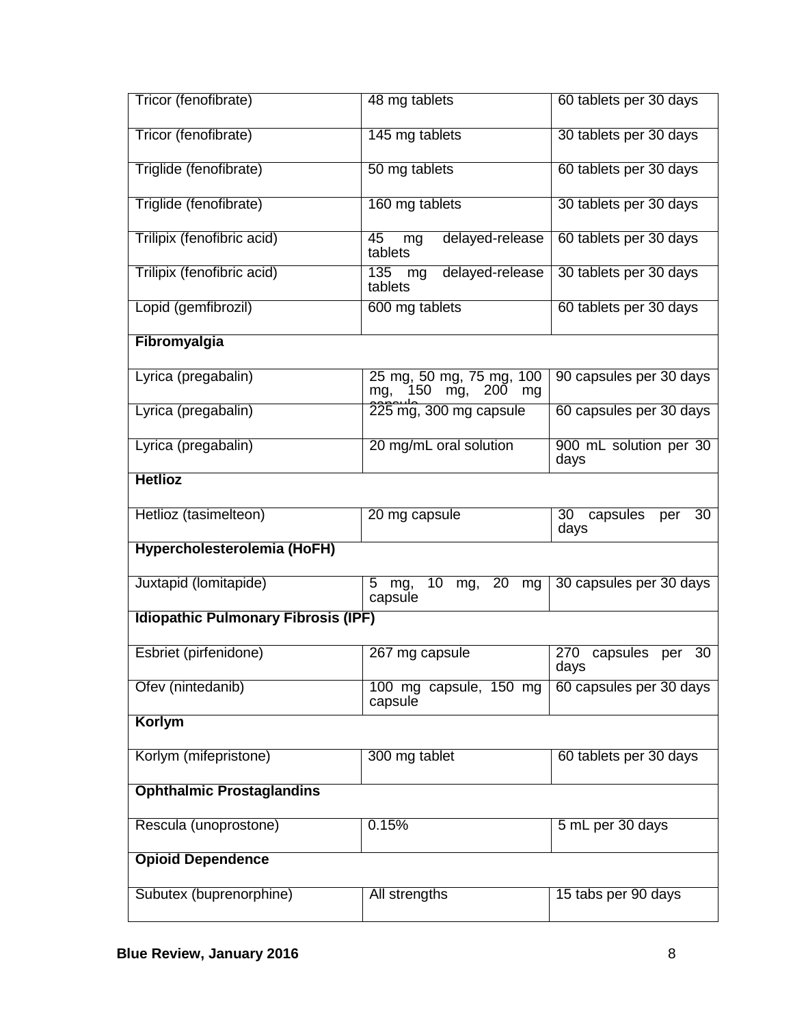| Tricor (fenofibrate)                       | 48 mg tablets                                              | 60 tablets per 30 days               |
|--------------------------------------------|------------------------------------------------------------|--------------------------------------|
| Tricor (fenofibrate)                       | 145 mg tablets                                             | 30 tablets per 30 days               |
| Triglide (fenofibrate)                     | 50 mg tablets                                              | 60 tablets per 30 days               |
| Triglide (fenofibrate)                     | 160 mg tablets                                             | 30 tablets per 30 days               |
| Trilipix (fenofibric acid)                 | 45<br>delayed-release<br>mg<br>tablets                     | 60 tablets per 30 days               |
| Trilipix (fenofibric acid)                 | delayed-release<br>135<br>mg<br>tablets                    | 30 tablets per 30 days               |
| Lopid (gemfibrozil)                        | 600 mg tablets                                             | 60 tablets per 30 days               |
| Fibromyalgia                               |                                                            |                                      |
| Lyrica (pregabalin)                        | 25 mg, 50 mg, 75 mg, 100<br>150<br>200<br>mg,<br>mg,<br>mg | 90 capsules per 30 days              |
| Lyrica (pregabalin)                        | 225 mg, 300 mg capsule                                     | 60 capsules per 30 days              |
| Lyrica (pregabalin)                        | 20 mg/mL oral solution                                     | 900 mL solution per 30<br>days       |
| <b>Hetlioz</b>                             |                                                            |                                      |
|                                            |                                                            |                                      |
| Hetlioz (tasimelteon)                      | 20 mg capsule                                              | 30<br>capsules<br>30<br>per<br>days  |
| Hypercholesterolemia (HoFH)                |                                                            |                                      |
| Juxtapid (lomitapide)                      | mg, 20<br>10<br>5<br>mg,<br>mg<br>capsule                  | 30 capsules per 30 days              |
| <b>Idiopathic Pulmonary Fibrosis (IPF)</b> |                                                            |                                      |
| Esbriet (pirfenidone)                      | 267 mg capsule                                             | 270<br>capsules<br>30<br>per<br>days |
| Ofev (nintedanib)                          | 100 mg capsule, 150 mg<br>capsule                          | 60 capsules per 30 days              |
| Korlym                                     |                                                            |                                      |
| Korlym (mifepristone)                      | 300 mg tablet                                              | 60 tablets per 30 days               |
| <b>Ophthalmic Prostaglandins</b>           |                                                            |                                      |
| Rescula (unoprostone)                      | 0.15%                                                      | 5 mL per 30 days                     |
| <b>Opioid Dependence</b>                   |                                                            |                                      |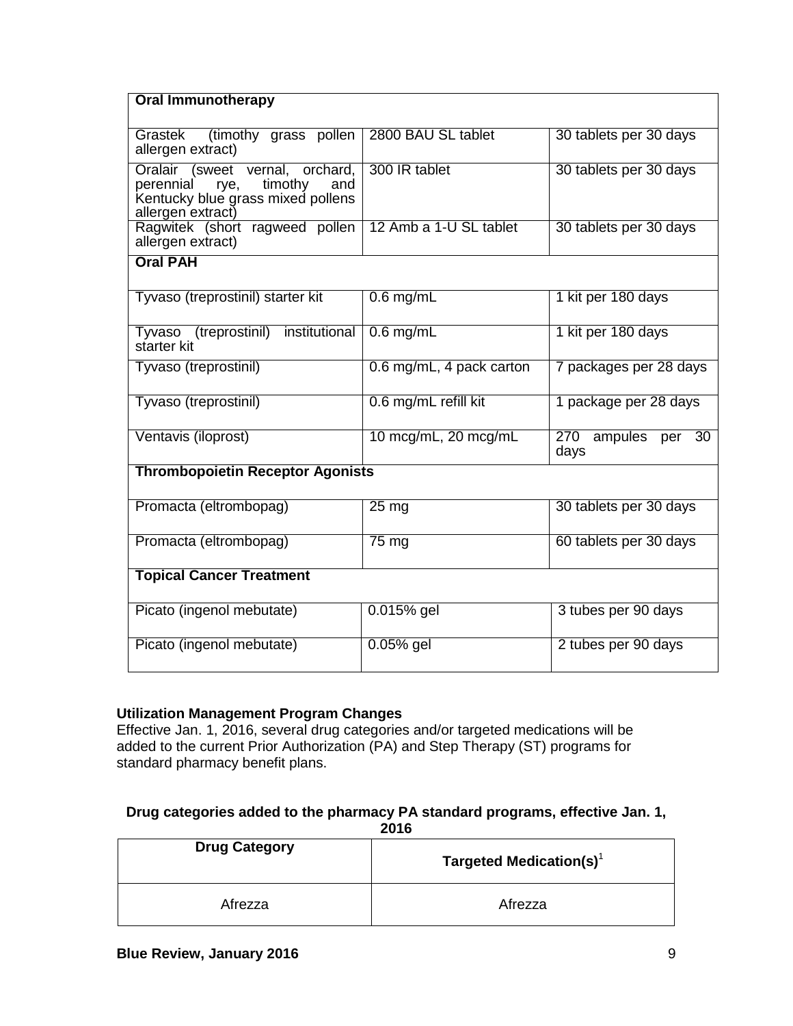| <b>Oral Immunotherapy</b>                                                                                                        |                          |                               |
|----------------------------------------------------------------------------------------------------------------------------------|--------------------------|-------------------------------|
|                                                                                                                                  |                          |                               |
| (timothy grass pollen<br>Grastek<br>allergen extract)                                                                            | 2800 BAU SL tablet       | 30 tablets per 30 days        |
| Oralair (sweet vernal, orchard,<br>timothy<br>perennial<br>rye,<br>and<br>Kentucky blue grass mixed pollens<br>allergen extract) | 300 IR tablet            | 30 tablets per 30 days        |
| Ragwitek (short ragweed pollen 12 Amb a 1-U SL tablet<br>allergen extract)                                                       |                          | 30 tablets per 30 days        |
| <b>Oral PAH</b>                                                                                                                  |                          |                               |
|                                                                                                                                  |                          |                               |
| Tyvaso (treprostinil) starter kit                                                                                                | $0.6$ mg/mL              | 1 kit per 180 days            |
| institutional<br>Tyvaso (treprostinil)<br>starter kit                                                                            | $0.6$ mg/mL              | 1 kit per 180 days            |
| Tyvaso (treprostinil)                                                                                                            | 0.6 mg/mL, 4 pack carton | 7 packages per 28 days        |
| Tyvaso (treprostinil)                                                                                                            | 0.6 mg/mL refill kit     | 1 package per 28 days         |
| Ventavis (iloprost)                                                                                                              | 10 mcg/mL, 20 mcg/mL     | 270<br>ampules per 30<br>days |
| <b>Thrombopoietin Receptor Agonists</b>                                                                                          |                          |                               |
| Promacta (eltrombopag)                                                                                                           | 25 <sub>mg</sub>         | 30 tablets per 30 days        |
| Promacta (eltrombopag)                                                                                                           | $75 \text{ mg}$          | 60 tablets per 30 days        |
| <b>Topical Cancer Treatment</b>                                                                                                  |                          |                               |
| Picato (ingenol mebutate)                                                                                                        | $0.015%$ gel             | 3 tubes per 90 days           |
| Picato (ingenol mebutate)                                                                                                        | $0.05%$ gel              | 2 tubes per 90 days           |

# **Utilization Management Program Changes**

Effective Jan. 1, 2016, several drug categories and/or targeted medications will be added to the current Prior Authorization (PA) and Step Therapy (ST) programs for standard pharmacy benefit plans.

#### **Drug categories added to the pharmacy PA standard programs, effective Jan. 1, 2016**

| ---                  |                                     |  |
|----------------------|-------------------------------------|--|
| <b>Drug Category</b> | Targeted Medication(s) <sup>1</sup> |  |
| Afrezza              | Afrezza                             |  |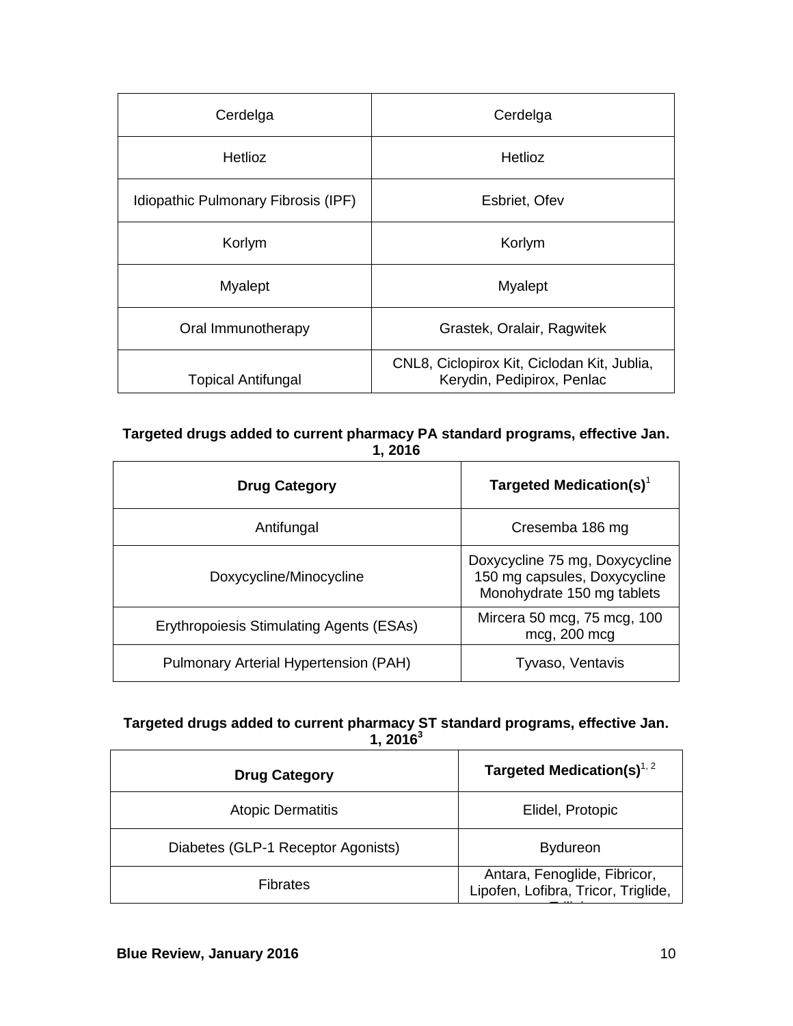| Cerdelga                            | Cerdelga                                                                  |
|-------------------------------------|---------------------------------------------------------------------------|
| <b>Hetlioz</b>                      | <b>Hetlioz</b>                                                            |
| Idiopathic Pulmonary Fibrosis (IPF) | Esbriet, Ofev                                                             |
| Korlym                              | Korlym                                                                    |
| Myalept                             | Myalept                                                                   |
| Oral Immunotherapy                  | Grastek, Oralair, Ragwitek                                                |
| <b>Topical Antifungal</b>           | CNL8, Ciclopirox Kit, Ciclodan Kit, Jublia,<br>Kerydin, Pedipirox, Penlac |

# **Targeted drugs added to current pharmacy PA standard programs, effective Jan. 1, 2016**

| <b>Drug Category</b>                            | Targeted Medication(s) <sup>1</sup>                                                          |
|-------------------------------------------------|----------------------------------------------------------------------------------------------|
| Antifungal                                      | Cresemba 186 mg                                                                              |
| Doxycycline/Minocycline                         | Doxycycline 75 mg, Doxycycline<br>150 mg capsules, Doxycycline<br>Monohydrate 150 mg tablets |
| <b>Erythropoiesis Stimulating Agents (ESAs)</b> | Mircera 50 mcg, 75 mcg, 100<br>mcg, 200 mcg                                                  |
| Pulmonary Arterial Hypertension (PAH)           | Tyvaso, Ventavis                                                                             |

# **Targeted drugs added to current pharmacy ST standard programs, effective Jan. 1, 2016<sup>3</sup>**

| <b>Drug Category</b>               | Targeted Medication(s) $^{1, 2}$                                    |
|------------------------------------|---------------------------------------------------------------------|
| <b>Atopic Dermatitis</b>           | Elidel, Protopic                                                    |
| Diabetes (GLP-1 Receptor Agonists) | <b>Bydureon</b>                                                     |
| Fibrates                           | Antara, Fenoglide, Fibricor,<br>Lipofen, Lofibra, Tricor, Triglide, |
|                                    |                                                                     |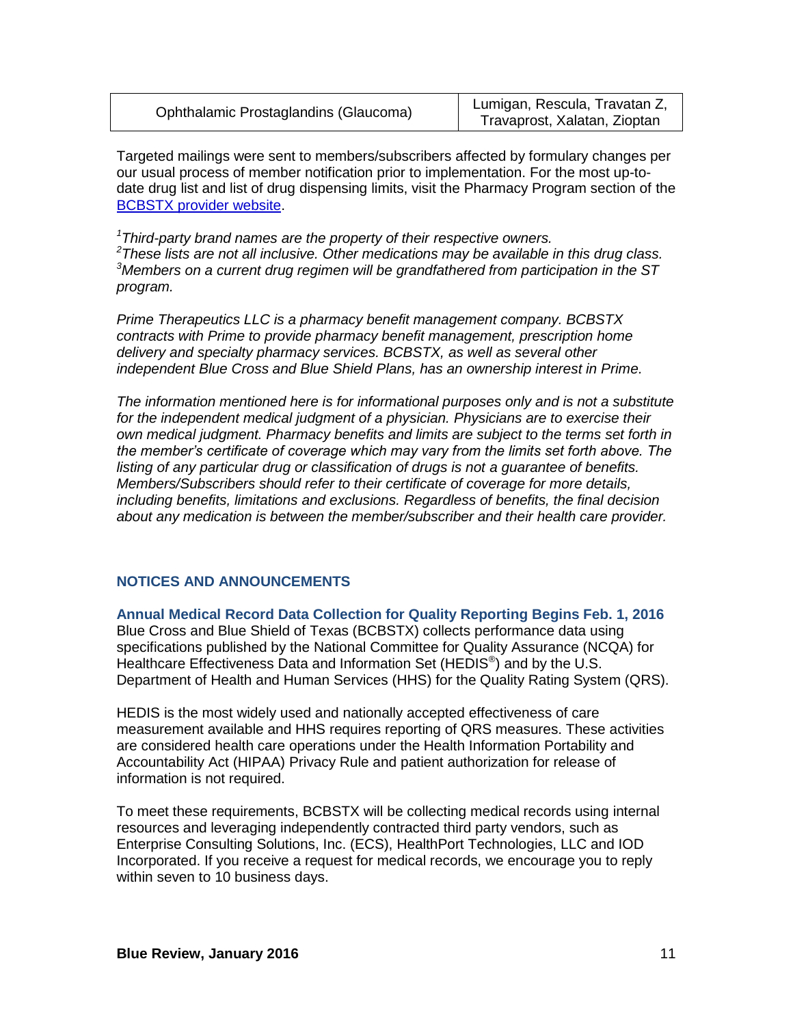| Ophthalamic Prostaglandins (Glaucoma) | Lumigan, Rescula, Travatan Z,<br>Travaprost, Xalatan, Zioptan |
|---------------------------------------|---------------------------------------------------------------|
|---------------------------------------|---------------------------------------------------------------|

Targeted mailings were sent to members/subscribers affected by formulary changes per our usual process of member notification prior to implementation. For the most up-todate drug list and list of drug dispensing limits, visit the Pharmacy Program section of the [BCBSTX provider website.](http://www.bcbstx.com/provider)

*Third-party brand names are the property of their respective owners. These lists are not all inclusive. Other medications may be available in this drug class. Members on a current drug regimen will be grandfathered from participation in the ST program.*

*Prime Therapeutics LLC is a pharmacy benefit management company. BCBSTX contracts with Prime to provide pharmacy benefit management, prescription home delivery and specialty pharmacy services. BCBSTX, as well as several other independent Blue Cross and Blue Shield Plans, has an ownership interest in Prime.*

*The information mentioned here is for informational purposes only and is not a substitute for the independent medical judgment of a physician. Physicians are to exercise their own medical judgment. Pharmacy benefits and limits are subject to the terms set forth in the member's certificate of coverage which may vary from the limits set forth above. The listing of any particular drug or classification of drugs is not a guarantee of benefits. Members/Subscribers should refer to their certificate of coverage for more details, including benefits, limitations and exclusions. Regardless of benefits, the final decision about any medication is between the member/subscriber and their health care provider.*

## **NOTICES AND ANNOUNCEMENTS**

**Annual Medical Record Data Collection for Quality Reporting Begins Feb. 1, 2016** Blue Cross and Blue Shield of Texas (BCBSTX) collects performance data using specifications published by the National Committee for Quality Assurance (NCQA) for Healthcare Effectiveness Data and Information Set (HEDIS<sup>®</sup>) and by the U.S. Department of Health and Human Services (HHS) for the Quality Rating System (QRS).

HEDIS is the most widely used and nationally accepted effectiveness of care measurement available and HHS requires reporting of QRS measures. These activities are considered health care operations under the Health Information Portability and Accountability Act (HIPAA) Privacy Rule and patient authorization for release of information is not required.

To meet these requirements, BCBSTX will be collecting medical records using internal resources and leveraging independently contracted third party vendors, such as Enterprise Consulting Solutions, Inc. (ECS), HealthPort Technologies, LLC and IOD Incorporated. If you receive a request for medical records, we encourage you to reply within seven to 10 business days.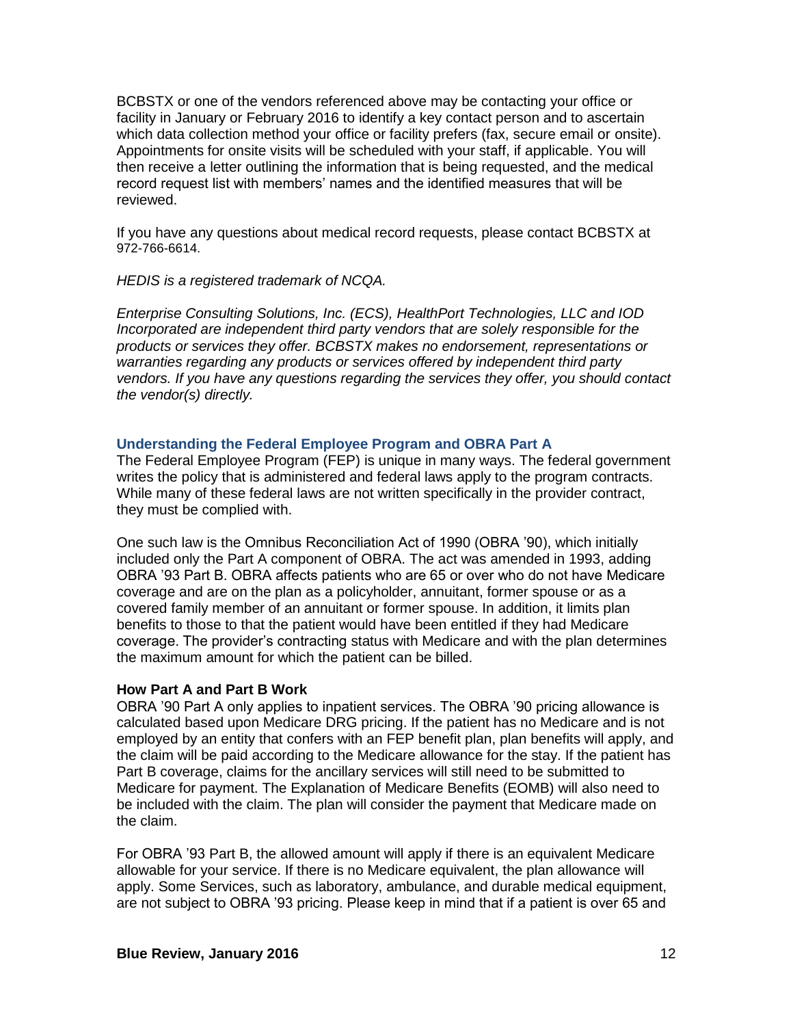BCBSTX or one of the vendors referenced above may be contacting your office or facility in January or February 2016 to identify a key contact person and to ascertain which data collection method your office or facility prefers (fax, secure email or onsite). Appointments for onsite visits will be scheduled with your staff, if applicable. You will then receive a letter outlining the information that is being requested, and the medical record request list with members' names and the identified measures that will be reviewed.

If you have any questions about medical record requests, please contact BCBSTX at 972-766-6614.

### *HEDIS is a registered trademark of NCQA.*

*Enterprise Consulting Solutions, Inc. (ECS), HealthPort Technologies, LLC and IOD Incorporated are independent third party vendors that are solely responsible for the products or services they offer. BCBSTX makes no endorsement, representations or warranties regarding any products or services offered by independent third party vendors. If you have any questions regarding the services they offer, you should contact the vendor(s) directly.*

### **Understanding the Federal Employee Program and OBRA Part A**

The Federal Employee Program (FEP) is unique in many ways. The federal government writes the policy that is administered and federal laws apply to the program contracts. While many of these federal laws are not written specifically in the provider contract, they must be complied with.

One such law is the Omnibus Reconciliation Act of 1990 (OBRA '90), which initially included only the Part A component of OBRA. The act was amended in 1993, adding OBRA '93 Part B. OBRA affects patients who are 65 or over who do not have Medicare coverage and are on the plan as a policyholder, annuitant, former spouse or as a covered family member of an annuitant or former spouse. In addition, it limits plan benefits to those to that the patient would have been entitled if they had Medicare coverage. The provider's contracting status with Medicare and with the plan determines the maximum amount for which the patient can be billed.

### **How Part A and Part B Work**

OBRA '90 Part A only applies to inpatient services. The OBRA '90 pricing allowance is calculated based upon Medicare DRG pricing. If the patient has no Medicare and is not employed by an entity that confers with an FEP benefit plan, plan benefits will apply, and the claim will be paid according to the Medicare allowance for the stay. If the patient has Part B coverage, claims for the ancillary services will still need to be submitted to Medicare for payment. The Explanation of Medicare Benefits (EOMB) will also need to be included with the claim. The plan will consider the payment that Medicare made on the claim.

For OBRA '93 Part B, the allowed amount will apply if there is an equivalent Medicare allowable for your service. If there is no Medicare equivalent, the plan allowance will apply. Some Services, such as laboratory, ambulance, and durable medical equipment, are not subject to OBRA '93 pricing. Please keep in mind that if a patient is over 65 and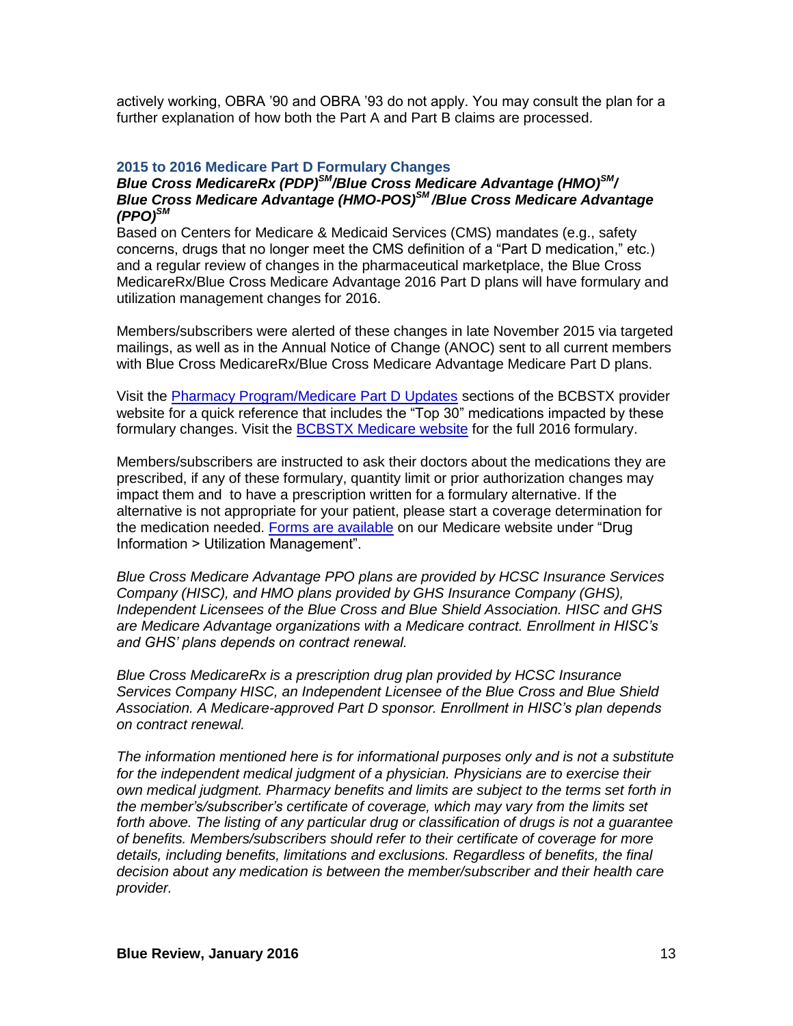actively working, OBRA '90 and OBRA '93 do not apply. You may consult the plan for a further explanation of how both the Part A and Part B claims are processed.

### **2015 to 2016 Medicare Part D Formulary Changes**

## *Blue Cross MedicareRx (PDP)SM/Blue Cross Medicare Advantage (HMO)SM/ Blue Cross Medicare Advantage (HMO-POS)SM /Blue Cross Medicare Advantage (PPO)SM*

Based on Centers for Medicare & Medicaid Services (CMS) mandates (e.g., safety concerns, drugs that no longer meet the CMS definition of a "Part D medication," etc.) and a regular review of changes in the pharmaceutical marketplace, the Blue Cross MedicareRx/Blue Cross Medicare Advantage 2016 Part D plans will have formulary and utilization management changes for 2016.

Members/subscribers were alerted of these changes in late November 2015 via targeted mailings, as well as in the Annual Notice of Change (ANOC) sent to all current members with Blue Cross MedicareRx/Blue Cross Medicare Advantage Medicare Part D plans.

Visit the [Pharmacy Program/Medicare Part D Updates](http://www.bcbstx.com/provider/pharmacy/medicare_partd_updates.html) sections of the BCBSTX provider website for a quick reference that includes the "Top 30" medications impacted by these formulary changes. Visit the [BCBSTX Medicare website](http://www.bcbstx.com/medicare/) for the full 2016 formulary.

Members/subscribers are instructed to ask their doctors about the medications they are prescribed, if any of these formulary, quantity limit or prior authorization changes may impact them and to have a prescription written for a formulary alternative. If the alternative is not appropriate for your patient, please start a coverage determination for the medication needed. [Forms are available](http://www.bcbstx.com/medicare/part_d_utilization_mgmt.html) on our Medicare website under "Drug Information > Utilization Management".

*Blue Cross Medicare Advantage PPO plans are provided by HCSC Insurance Services Company (HISC), and HMO plans provided by GHS Insurance Company (GHS), Independent Licensees of the Blue Cross and Blue Shield Association. HISC and GHS are Medicare Advantage organizations with a Medicare contract. Enrollment in HISC's and GHS' plans depends on contract renewal.*

*Blue Cross MedicareRx is a prescription drug plan provided by HCSC Insurance Services Company HISC, an Independent Licensee of the Blue Cross and Blue Shield Association. A Medicare-approved Part D sponsor. Enrollment in HISC's plan depends on contract renewal.*

*The information mentioned here is for informational purposes only and is not a substitute for the independent medical judgment of a physician. Physicians are to exercise their own medical judgment. Pharmacy benefits and limits are subject to the terms set forth in the member's/subscriber's certificate of coverage, which may vary from the limits set forth above. The listing of any particular drug or classification of drugs is not a guarantee of benefits. Members/subscribers should refer to their certificate of coverage for more details, including benefits, limitations and exclusions. Regardless of benefits, the final decision about any medication is between the member/subscriber and their health care provider.*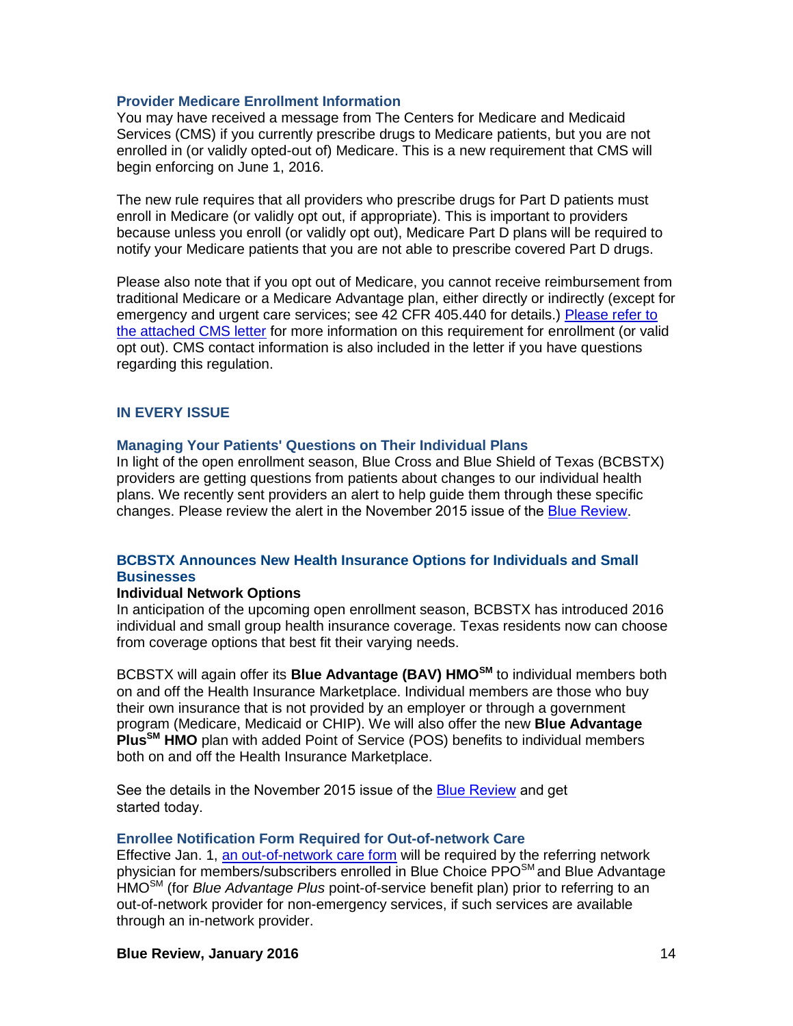### **Provider Medicare Enrollment Information**

You may have received a message from The Centers for Medicare and Medicaid Services (CMS) if you currently prescribe drugs to Medicare patients, but you are not enrolled in (or validly opted-out of) Medicare. This is a new requirement that CMS will begin enforcing on June 1, 2016.

The new rule requires that all providers who prescribe drugs for Part D patients must enroll in Medicare (or validly opt out, if appropriate). This is important to providers because unless you enroll (or validly opt out), Medicare Part D plans will be required to notify your Medicare patients that you are not able to prescribe covered Part D drugs.

Please also note that if you opt out of Medicare, you cannot receive reimbursement from traditional Medicare or a Medicare Advantage plan, either directly or indirectly (except for emergency and urgent care services; see 42 CFR 405.440 for details.) [Please refer to](http://contentz.mkt2527.com/lp/11207/232348/Prescriber_Outreach_Communication.pdf)  [the attached CMS letter](http://contentz.mkt2527.com/lp/11207/232348/Prescriber_Outreach_Communication.pdf) for more information on this requirement for enrollment (or valid opt out). CMS contact information is also included in the letter if you have questions regarding this regulation.

### **IN EVERY ISSUE**

#### **Managing Your Patients' Questions on Their Individual Plans**

In light of the open enrollment season, Blue Cross and Blue Shield of Texas (BCBSTX) providers are getting questions from patients about changes to our individual health plans. We recently sent providers an alert to help guide them through these specific changes. Please review the alert in the November 2015 issue of the [Blue Review](https://www.bcbstx.com/provider/news/bluereview.html).

## **BCBSTX Announces New Health Insurance Options for Individuals and Small Businesses**

### **Individual Network Options**

In anticipation of the upcoming open enrollment season, BCBSTX has introduced 2016 individual and small group health insurance coverage. Texas residents now can choose from coverage options that best fit their varying needs.

BCBSTX will again offer its **Blue Advantage (BAV) HMOSM** to individual members both on and off the Health Insurance Marketplace. Individual members are those who buy their own insurance that is not provided by an employer or through a government program (Medicare, Medicaid or CHIP). We will also offer the new **Blue Advantage PlusSM HMO** plan with added Point of Service (POS) benefits to individual members both on and off the Health Insurance Marketplace.

[See the details in the November 2015](http://www.pages02.net/hcscnosuppression/nlt_nov_2015_p_br_provider_tx_1115_IntroducingSmallBusinessIndividualInsurance/) issue of the [Blue Review](https://www.bcbstx.com/provider/news/bluereview.html) and get started today.

#### **Enrollee Notification Form Required for Out-of-network Care**

Effective Jan. 1, [an out-of-network care form](http://contentz.mkt2527.com/lp/11207/230879/Out_of_Network_Enrollee_Notification_Form-12042015.pdf) will be required by the referring network physician for members/subscribers enrolled in Blue Choice PPO<sup>SM</sup> and Blue Advantage HMOSM (for *Blue Advantage Plus* point-of-service benefit plan) prior to referring to an out-of-network provider for non-emergency services, if such services are available through an in-network provider.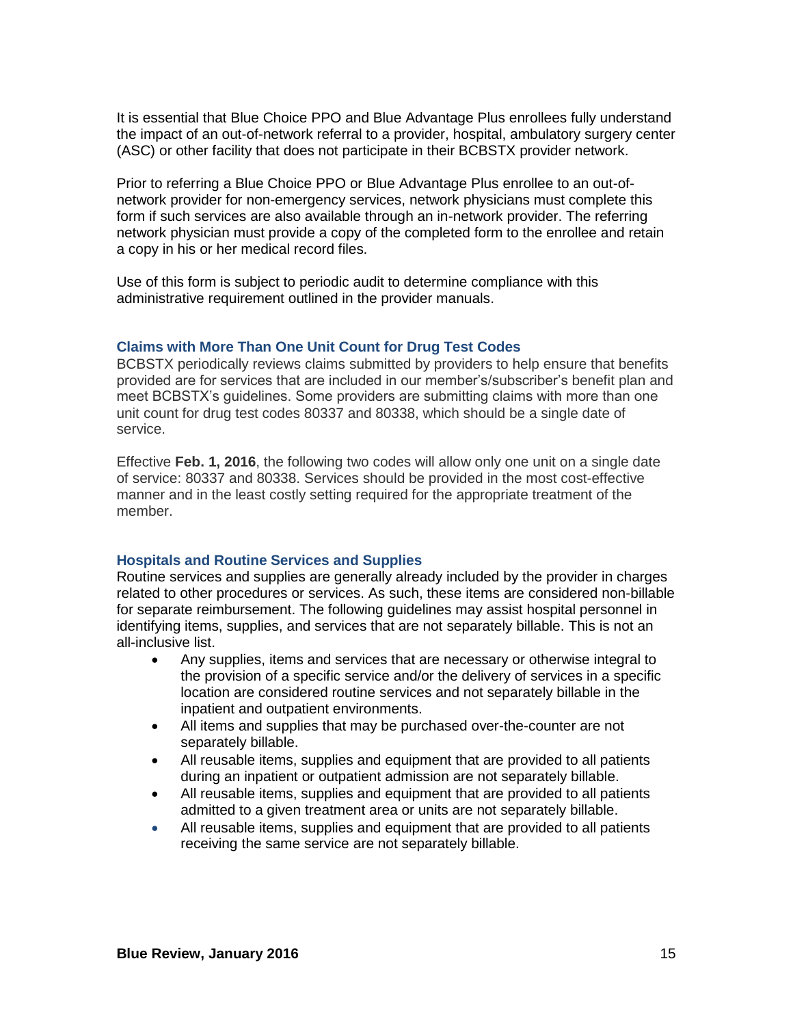It is essential that Blue Choice PPO and Blue Advantage Plus enrollees fully understand the impact of an out-of-network referral to a provider, hospital, ambulatory surgery center (ASC) or other facility that does not participate in their BCBSTX provider network.

Prior to referring a Blue Choice PPO or Blue Advantage Plus enrollee to an out-ofnetwork provider for non-emergency services, network physicians must complete this form if such services are also available through an in-network provider. The referring network physician must provide a copy of the completed form to the enrollee and retain a copy in his or her medical record files.

Use of this form is subject to periodic audit to determine compliance with this administrative requirement outlined in the provider manuals.

### **Claims with More Than One Unit Count for Drug Test Codes**

BCBSTX periodically reviews claims submitted by providers to help ensure that benefits provided are for services that are included in our member's/subscriber's benefit plan and meet BCBSTX's guidelines. Some providers are submitting claims with more than one unit count for drug test codes 80337 and 80338, which should be a single date of service.

Effective **Feb. 1, 2016**, the following two codes will allow only one unit on a single date of service: 80337 and 80338. Services should be provided in the most cost-effective manner and in the least costly setting required for the appropriate treatment of the member.

#### **Hospitals and Routine Services and Supplies**

Routine services and supplies are generally already included by the provider in charges related to other procedures or services. As such, these items are considered non-billable for separate reimbursement. The following guidelines may assist hospital personnel in identifying items, supplies, and services that are not separately billable. This is not an all-inclusive list.

- Any supplies, items and services that are necessary or otherwise integral to the provision of a specific service and/or the delivery of services in a specific location are considered routine services and not separately billable in the inpatient and outpatient environments.
- All items and supplies that may be purchased over-the-counter are not separately billable.
- All reusable items, supplies and equipment that are provided to all patients during an inpatient or outpatient admission are not separately billable.
- All reusable items, supplies and equipment that are provided to all patients admitted to a given treatment area or units are not separately billable.
- All reusable items, supplies and equipment that are provided to all patients receiving the same service are not separately billable.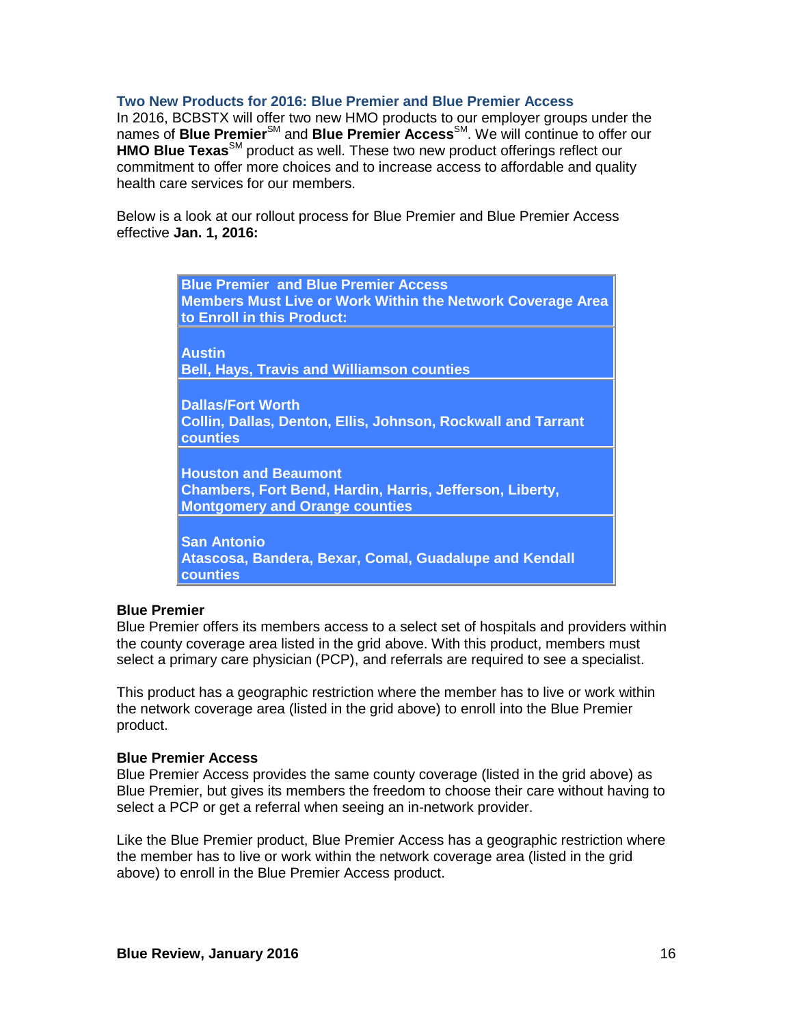#### **Two New Products for 2016: Blue Premier and Blue Premier Access**

In 2016, BCBSTX will offer two new HMO products to our employer groups under the names of **Blue Premier**SM and **Blue Premier Access**SM. We will continue to offer our **HMO Blue Texas**<sup>SM</sup> product as well. These two new product offerings reflect our commitment to offer more choices and to increase access to affordable and quality health care services for our members.

Below is a look at our rollout process for Blue Premier and Blue Premier Access effective **Jan. 1, 2016:**

| <b>Blue Premier and Blue Premier Access</b><br><b>Members Must Live or Work Within the Network Coverage Area</b><br>to Enroll in this Product: |
|------------------------------------------------------------------------------------------------------------------------------------------------|
| <b>Austin</b><br><b>Bell, Hays, Travis and Williamson counties</b>                                                                             |
| <b>Dallas/Fort Worth</b><br>Collin, Dallas, Denton, Ellis, Johnson, Rockwall and Tarrant<br>counties                                           |
| <b>Houston and Beaumont</b><br>Chambers, Fort Bend, Hardin, Harris, Jefferson, Liberty,<br><b>Montgomery and Orange counties</b>               |
| <b>San Antonio</b><br>Atascosa, Bandera, Bexar, Comal, Guadalupe and Kendall<br>counties                                                       |

#### **Blue Premier**

Blue Premier offers its members access to a select set of hospitals and providers within the county coverage area listed in the grid above. With this product, members must select a primary care physician (PCP), and referrals are required to see a specialist.

This product has a geographic restriction where the member has to live or work within the network coverage area (listed in the grid above) to enroll into the Blue Premier product.

#### **Blue Premier Access**

Blue Premier Access provides the same county coverage (listed in the grid above) as Blue Premier, but gives its members the freedom to choose their care without having to select a PCP or get a referral when seeing an in-network provider.

Like the Blue Premier product, Blue Premier Access has a geographic restriction where the member has to live or work within the network coverage area (listed in the grid above) to enroll in the Blue Premier Access product.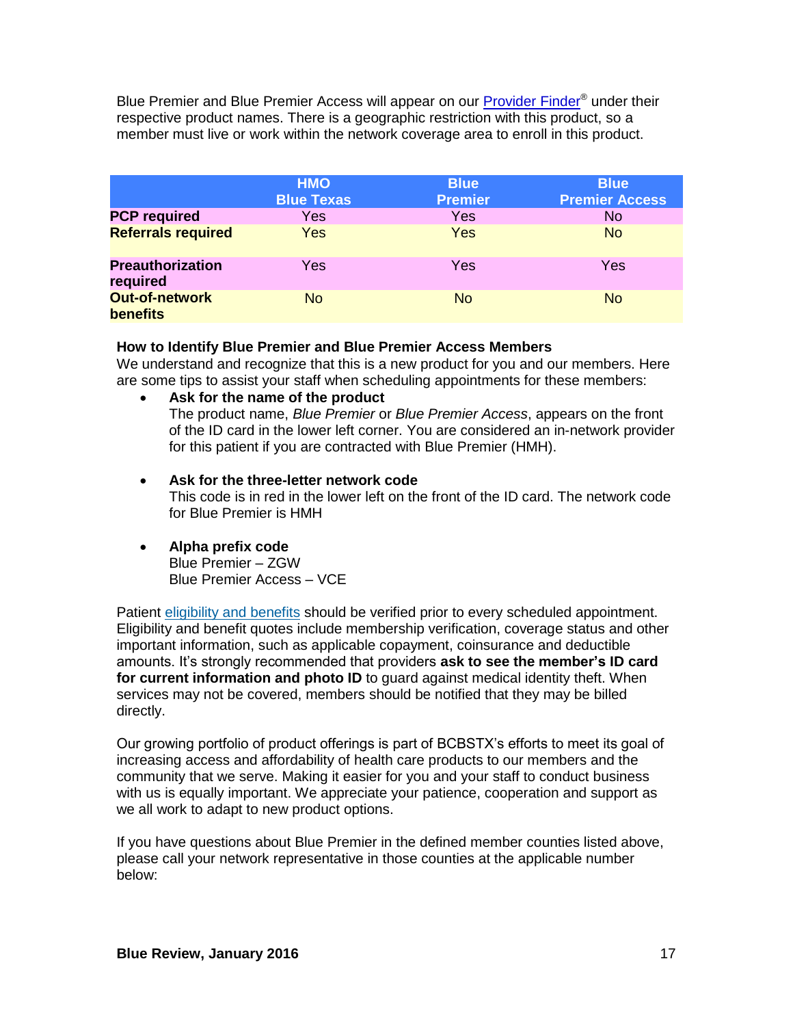Blue Premier and Blue Premier Access will appear on our **Provider Finder<sup>®</sup> under their** respective product names. There is a geographic restriction with this product, so a member must live or work within the network coverage area to enroll in this product.

|                                          | <b>HMO</b><br><b>Blue Texas</b> | <b>Blue</b><br><b>Premier</b> | <b>Blue</b><br><b>Premier Access</b> |
|------------------------------------------|---------------------------------|-------------------------------|--------------------------------------|
| <b>PCP required</b>                      | Yes                             | Yes                           | <b>No</b>                            |
| <b>Referrals required</b>                | Yes                             | Yes                           | <b>No</b>                            |
| <b>Preauthorization</b><br>required      | Yes                             | Yes                           | Yes                                  |
| <b>Out-of-network</b><br><b>benefits</b> | <b>No</b>                       | <b>No</b>                     | <b>No</b>                            |

## **How to Identify Blue Premier and Blue Premier Access Members**

We understand and recognize that this is a new product for you and our members. Here are some tips to assist your staff when scheduling appointments for these members:

**Ask for the name of the product**

The product name, *Blue Premier* or *Blue Premier Access*, appears on the front of the ID card in the lower left corner. You are considered an in-network provider for this patient if you are contracted with Blue Premier (HMH).

- **Ask for the three-letter network code** This code is in red in the lower left on the front of the ID card. The network code for Blue Premier is HMH
- **Alpha prefix code**

Blue Premier – ZGW Blue Premier Access – VCE

Patient [eligibility and benefits](https://www.bcbstx.com/provider/claims/eligibility_and_benefits.html) should be verified prior to every scheduled appointment. Eligibility and benefit quotes include membership verification, coverage status and other important information, such as applicable copayment, coinsurance and deductible amounts. It's strongly recommended that providers **ask to see the member's ID card for current information and photo ID** to guard against medical identity theft. When services may not be covered, members should be notified that they may be billed directly.

Our growing portfolio of product offerings is part of BCBSTX's efforts to meet its goal of increasing access and affordability of health care products to our members and the community that we serve. Making it easier for you and your staff to conduct business with us is equally important. We appreciate your patience, cooperation and support as we all work to adapt to new product options.

If you have questions about Blue Premier in the defined member counties listed above, please call your network representative in those counties at the applicable number below: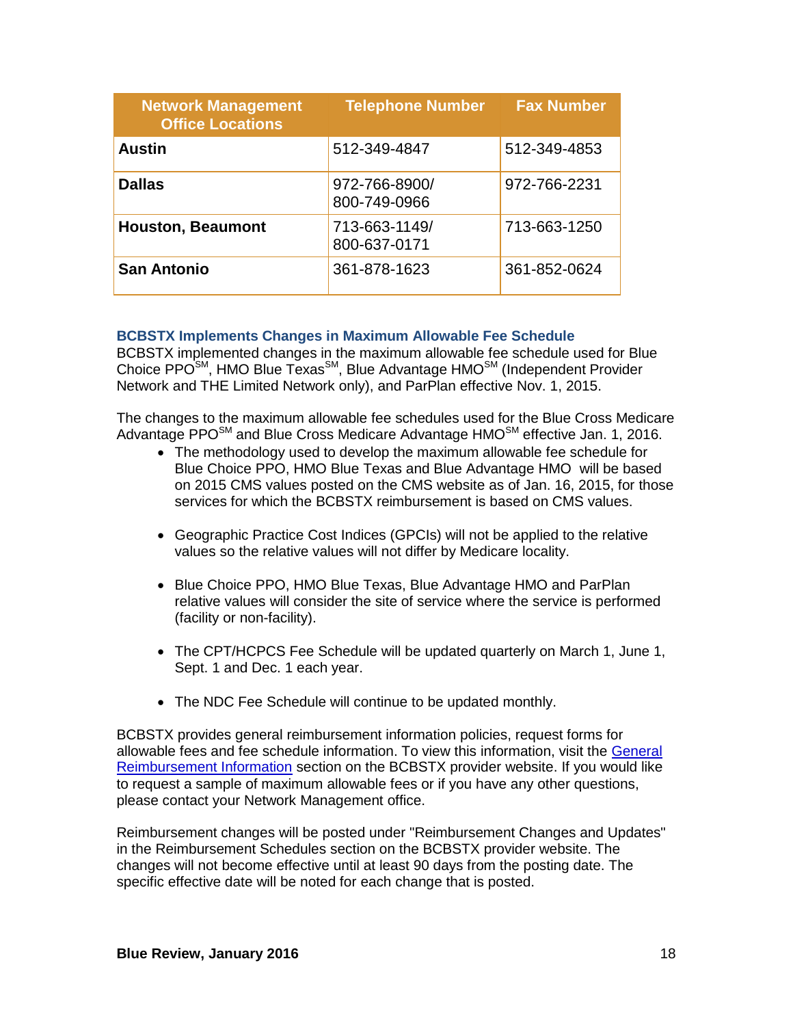| <b>Network Management</b><br><b>Office Locations</b> | <b>Telephone Number</b>       | <b>Fax Number</b> |
|------------------------------------------------------|-------------------------------|-------------------|
| <b>Austin</b>                                        | 512-349-4847                  | 512-349-4853      |
| <b>Dallas</b>                                        | 972-766-8900/<br>800-749-0966 | 972-766-2231      |
| <b>Houston, Beaumont</b>                             | 713-663-1149/<br>800-637-0171 | 713-663-1250      |
| <b>San Antonio</b>                                   | 361-878-1623                  | 361-852-0624      |

# **BCBSTX Implements Changes in Maximum Allowable Fee Schedule**

BCBSTX implemented changes in the maximum allowable fee schedule used for Blue Choice PPO<sup>SM</sup>, HMO Blue Texas<sup>SM</sup>, Blue Advantage HMO<sup>SM</sup> (Independent Provider Network and THE Limited Network only), and ParPlan effective Nov. 1, 2015.

The changes to the maximum allowable fee schedules used for the Blue Cross Medicare Advantage PPO $^{SM}$  and Blue Cross Medicare Advantage HMO $^{SM}$  effective Jan. 1, 2016.

- The methodology used to develop the maximum allowable fee schedule for Blue Choice PPO, HMO Blue Texas and Blue Advantage HMO will be based on 2015 CMS values posted on the CMS website as of Jan. 16, 2015, for those services for which the BCBSTX reimbursement is based on CMS values.
- Geographic Practice Cost Indices (GPCIs) will not be applied to the relative values so the relative values will not differ by Medicare locality.
- Blue Choice PPO, HMO Blue Texas, Blue Advantage HMO and ParPlan relative values will consider the site of service where the service is performed (facility or non-facility).
- The CPT/HCPCS Fee Schedule will be updated quarterly on March 1, June 1, Sept. 1 and Dec. 1 each year.
- The NDC Fee Schedule will continue to be updated monthly.

BCBSTX provides general reimbursement information policies, request forms for allowable fees and fee schedule information. To view this information, visit the [General](http://www.bcbstx.com/provider/gri/index.html)  [Reimbursement Information](http://www.bcbstx.com/provider/gri/index.html) section on the BCBSTX provider website. If you would like to request a sample of maximum allowable fees or if you have any other questions, please contact your Network Management office.

Reimbursement changes will be posted under "Reimbursement Changes and Updates" in the Reimbursement Schedules section on the BCBSTX provider website. The changes will not become effective until at least 90 days from the posting date. The specific effective date will be noted for each change that is posted.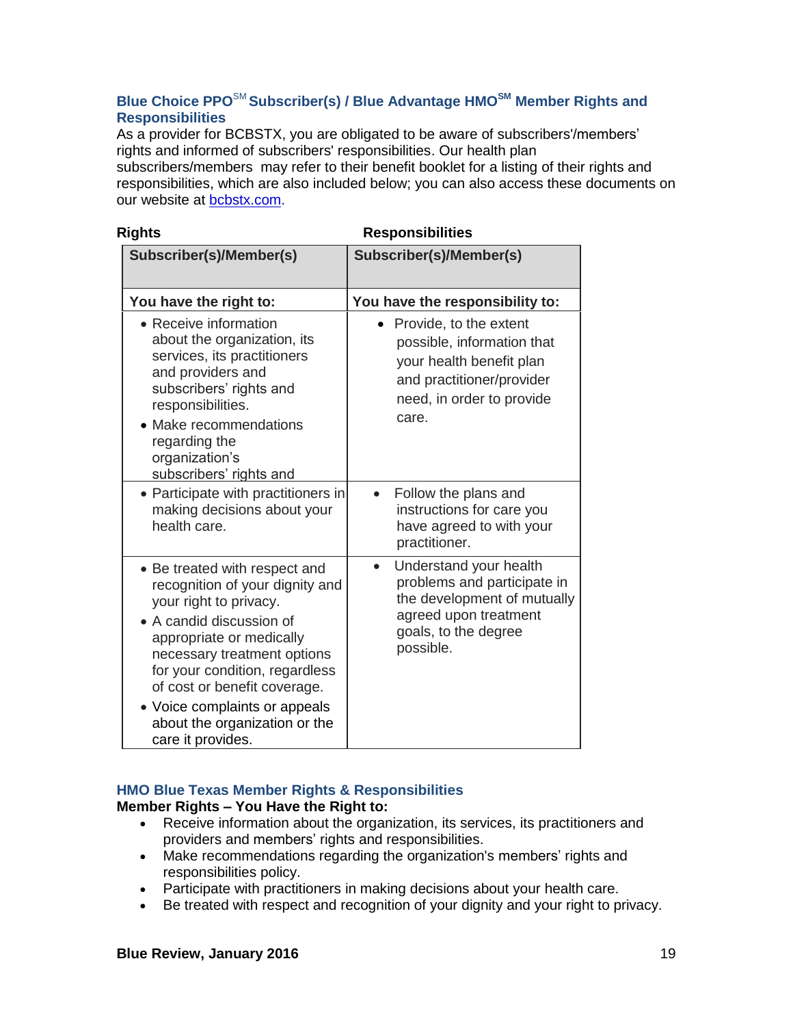# **Blue Choice PPO**SM **Subscriber(s) / Blue Advantage HMOSM Member Rights and Responsibilities**

As a provider for BCBSTX, you are obligated to be aware of subscribers'/members' rights and informed of subscribers' responsibilities. Our health plan subscribers/members may refer to their benefit booklet for a listing of their rights and responsibilities, which are also included below; you can also access these documents on our website at [bcbstx.com.](http://www.bcbstx.com/)

| <b>Rights</b>                                                                                                                                                                                                                                                                                                                              | <b>Responsibilities</b>                                                                                                                                         |
|--------------------------------------------------------------------------------------------------------------------------------------------------------------------------------------------------------------------------------------------------------------------------------------------------------------------------------------------|-----------------------------------------------------------------------------------------------------------------------------------------------------------------|
| Subscriber(s)/Member(s)                                                                                                                                                                                                                                                                                                                    | Subscriber(s)/Member(s)                                                                                                                                         |
| You have the right to:                                                                                                                                                                                                                                                                                                                     | You have the responsibility to:                                                                                                                                 |
| • Receive information<br>about the organization, its<br>services, its practitioners<br>and providers and<br>subscribers' rights and<br>responsibilities.<br>• Make recommendations<br>regarding the<br>organization's<br>subscribers' rights and                                                                                           | Provide, to the extent<br>possible, information that<br>your health benefit plan<br>and practitioner/provider<br>need, in order to provide<br>care.             |
| • Participate with practitioners in<br>making decisions about your<br>health care.                                                                                                                                                                                                                                                         | Follow the plans and<br>instructions for care you<br>have agreed to with your<br>practitioner.                                                                  |
| • Be treated with respect and<br>recognition of your dignity and<br>your right to privacy.<br>• A candid discussion of<br>appropriate or medically<br>necessary treatment options<br>for your condition, regardless<br>of cost or benefit coverage.<br>• Voice complaints or appeals<br>about the organization or the<br>care it provides. | Understand your health<br>$\bullet$<br>problems and participate in<br>the development of mutually<br>agreed upon treatment<br>goals, to the degree<br>possible. |

# **HMO Blue Texas Member Rights & Responsibilities**

**Member Rights – You Have the Right to:**

- Receive information about the organization, its services, its practitioners and providers and members' rights and responsibilities.
- Make recommendations regarding the organization's members' rights and responsibilities policy.
- Participate with practitioners in making decisions about your health care.
- Be treated with respect and recognition of your dignity and your right to privacy.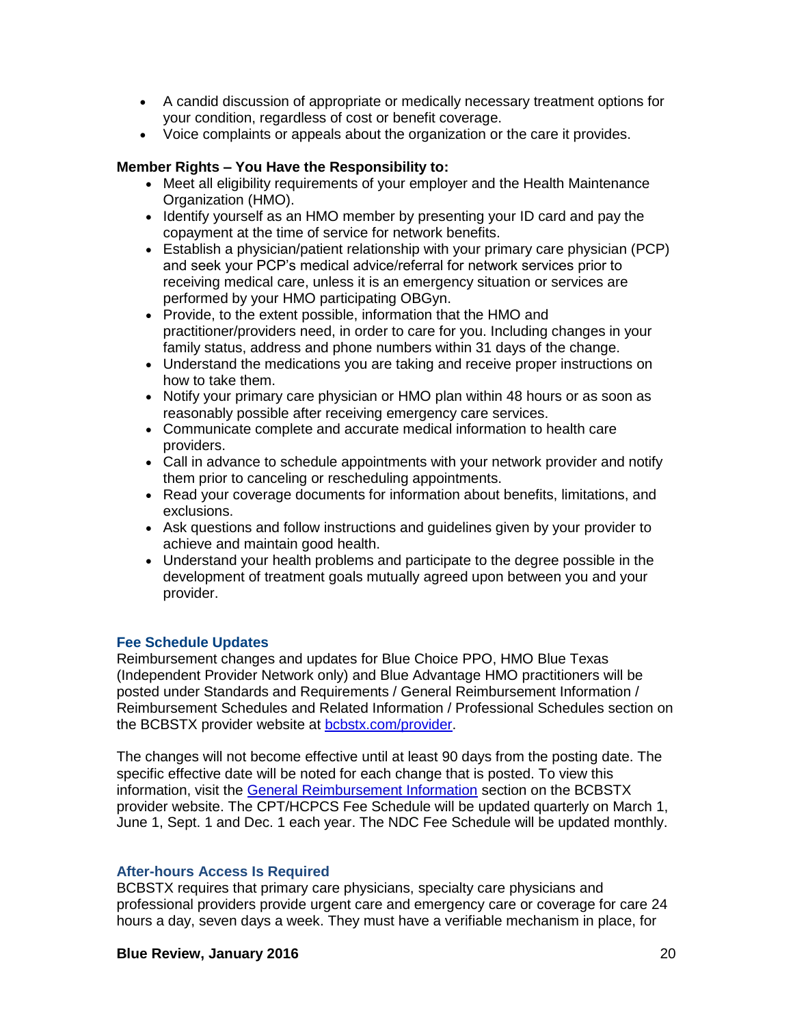- A candid discussion of appropriate or medically necessary treatment options for your condition, regardless of cost or benefit coverage.
- Voice complaints or appeals about the organization or the care it provides.

## **Member Rights – You Have the Responsibility to:**

- Meet all eligibility requirements of your employer and the Health Maintenance Organization (HMO).
- Identify yourself as an HMO member by presenting your ID card and pay the copayment at the time of service for network benefits.
- Establish a physician/patient relationship with your primary care physician (PCP) and seek your PCP's medical advice/referral for network services prior to receiving medical care, unless it is an emergency situation or services are performed by your HMO participating OBGyn.
- Provide, to the extent possible, information that the HMO and practitioner/providers need, in order to care for you. Including changes in your family status, address and phone numbers within 31 days of the change.
- Understand the medications you are taking and receive proper instructions on how to take them.
- Notify your primary care physician or HMO plan within 48 hours or as soon as reasonably possible after receiving emergency care services.
- Communicate complete and accurate medical information to health care providers.
- Call in advance to schedule appointments with your network provider and notify them prior to canceling or rescheduling appointments.
- Read your coverage documents for information about benefits, limitations, and exclusions.
- Ask questions and follow instructions and guidelines given by your provider to achieve and maintain good health.
- Understand your health problems and participate to the degree possible in the development of treatment goals mutually agreed upon between you and your provider.

## **Fee Schedule Updates**

Reimbursement changes and updates for Blue Choice PPO, HMO Blue Texas (Independent Provider Network only) and Blue Advantage HMO practitioners will be posted under Standards and Requirements / General Reimbursement Information / Reimbursement Schedules and Related Information / Professional Schedules section on the BCBSTX provider website at [bcbstx.com/provider.](http://www.bcbstx.com/provider/)

The changes will not become effective until at least 90 days from the posting date. The specific effective date will be noted for each change that is posted. To view this information, visit the [General Reimbursement Information](http://www.bcbstx.com/provider/gri/index.html) section on the BCBSTX provider website. The CPT/HCPCS Fee Schedule will be updated quarterly on March 1, June 1, Sept. 1 and Dec. 1 each year. The NDC Fee Schedule will be updated monthly.

### **After-hours Access Is Required**

BCBSTX requires that primary care physicians, specialty care physicians and professional providers provide urgent care and emergency care or coverage for care 24 hours a day, seven days a week. They must have a verifiable mechanism in place, for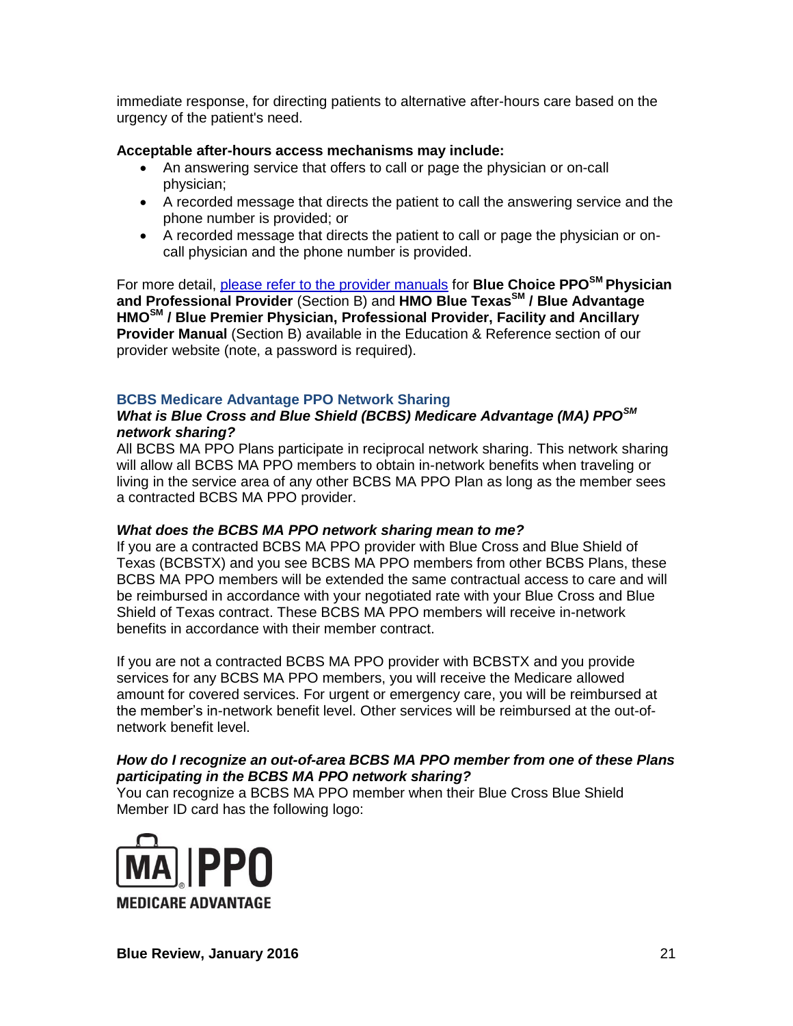immediate response, for directing patients to alternative after-hours care based on the urgency of the patient's need.

## **Acceptable after-hours access mechanisms may include:**

- An answering service that offers to call or page the physician or on-call physician;
- A recorded message that directs the patient to call the answering service and the phone number is provided; or
- A recorded message that directs the patient to call or page the physician or oncall physician and the phone number is provided.

For more detail, [please refer to the provider manuals](http://www.bcbstx.com/provider/gri/index.html) for **Blue Choice PPOSM Physician and Professional Provider** (Section B) and **HMO Blue TexasSM / Blue Advantage HMOSM / Blue Premier Physician, Professional Provider, Facility and Ancillary Provider Manual** (Section B) available in the Education & Reference section of our provider website (note, a password is required).

# **BCBS Medicare Advantage PPO Network Sharing**

# *What is Blue Cross and Blue Shield (BCBS) Medicare Advantage (MA) PPOSM network sharing?*

All BCBS MA PPO Plans participate in reciprocal network sharing. This network sharing will allow all BCBS MA PPO members to obtain in-network benefits when traveling or living in the service area of any other BCBS MA PPO Plan as long as the member sees a contracted BCBS MA PPO provider.

## *What does the BCBS MA PPO network sharing mean to me?*

If you are a contracted BCBS MA PPO provider with Blue Cross and Blue Shield of Texas (BCBSTX) and you see BCBS MA PPO members from other BCBS Plans, these BCBS MA PPO members will be extended the same contractual access to care and will be reimbursed in accordance with your negotiated rate with your Blue Cross and Blue Shield of Texas contract. These BCBS MA PPO members will receive in-network benefits in accordance with their member contract.

If you are not a contracted BCBS MA PPO provider with BCBSTX and you provide services for any BCBS MA PPO members, you will receive the Medicare allowed amount for covered services. For urgent or emergency care, you will be reimbursed at the member's in-network benefit level. Other services will be reimbursed at the out-ofnetwork benefit level.

## *How do I recognize an out-of-area BCBS MA PPO member from one of these Plans participating in the BCBS MA PPO network sharing?*

You can recognize a BCBS MA PPO member when their Blue Cross Blue Shield Member ID card has the following logo:

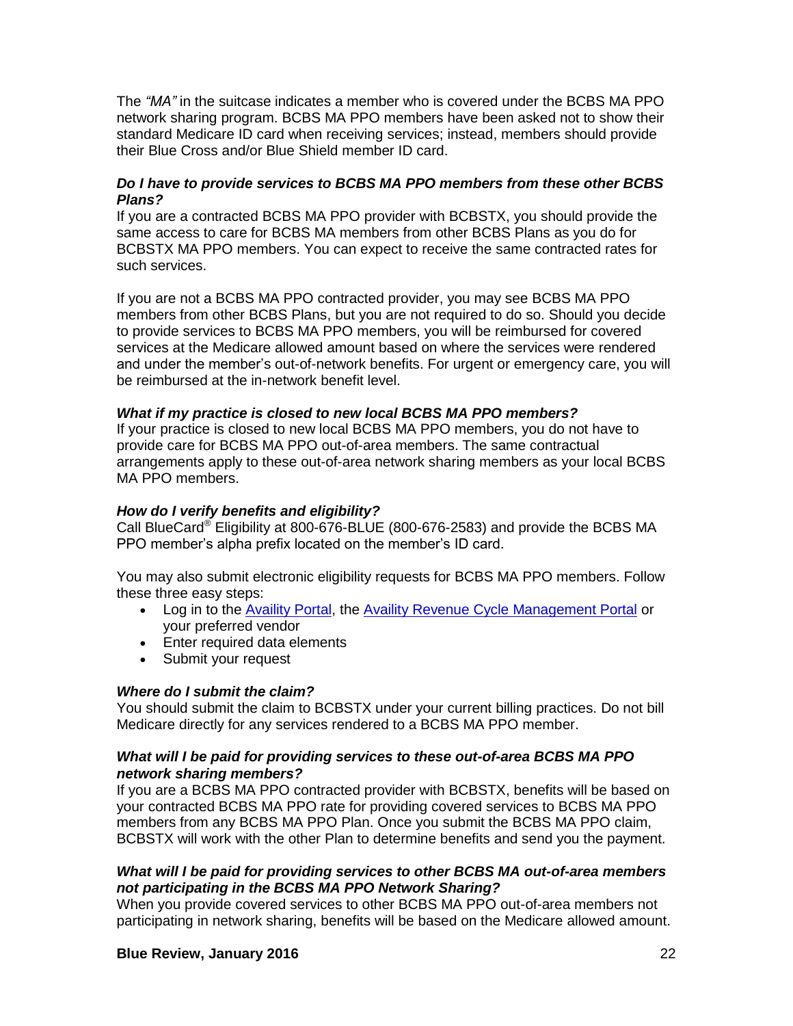The *"MA"* in the suitcase indicates a member who is covered under the BCBS MA PPO network sharing program. BCBS MA PPO members have been asked not to show their standard Medicare ID card when receiving services; instead, members should provide their Blue Cross and/or Blue Shield member ID card.

## *Do I have to provide services to BCBS MA PPO members from these other BCBS Plans?*

If you are a contracted BCBS MA PPO provider with BCBSTX, you should provide the same access to care for BCBS MA members from other BCBS Plans as you do for BCBSTX MA PPO members. You can expect to receive the same contracted rates for such services.

If you are not a BCBS MA PPO contracted provider, you may see BCBS MA PPO members from other BCBS Plans, but you are not required to do so. Should you decide to provide services to BCBS MA PPO members, you will be reimbursed for covered services at the Medicare allowed amount based on where the services were rendered and under the member's out-of-network benefits. For urgent or emergency care, you will be reimbursed at the in-network benefit level.

## *What if my practice is closed to new local BCBS MA PPO members?*

If your practice is closed to new local BCBS MA PPO members, you do not have to provide care for BCBS MA PPO out-of-area members. The same contractual arrangements apply to these out-of-area network sharing members as your local BCBS MA PPO members.

## *How do I verify benefits and eligibility?*

Call BlueCard® Eligibility at 800-676-BLUE (800-676-2583) and provide the BCBS MA PPO member's alpha prefix located on the member's ID card.

You may also submit electronic eligibility requests for BCBS MA PPO members. Follow these three easy steps:

- Log in to the [Availity Portal,](http://www.availity.com/) the [Availity Revenue Cycle Management Portal](https://claims.realmed.com/) or your preferred vendor
- Enter required data elements
- Submit your request

### *Where do I submit the claim?*

You should submit the claim to BCBSTX under your current billing practices. Do not bill Medicare directly for any services rendered to a BCBS MA PPO member.

## *What will I be paid for providing services to these out-of-area BCBS MA PPO network sharing members?*

If you are a BCBS MA PPO contracted provider with BCBSTX, benefits will be based on your contracted BCBS MA PPO rate for providing covered services to BCBS MA PPO members from any BCBS MA PPO Plan. Once you submit the BCBS MA PPO claim, BCBSTX will work with the other Plan to determine benefits and send you the payment.

## *What will I be paid for providing services to other BCBS MA out-of-area members not participating in the BCBS MA PPO Network Sharing?*

When you provide covered services to other BCBS MA PPO out-of-area members not participating in network sharing, benefits will be based on the Medicare allowed amount.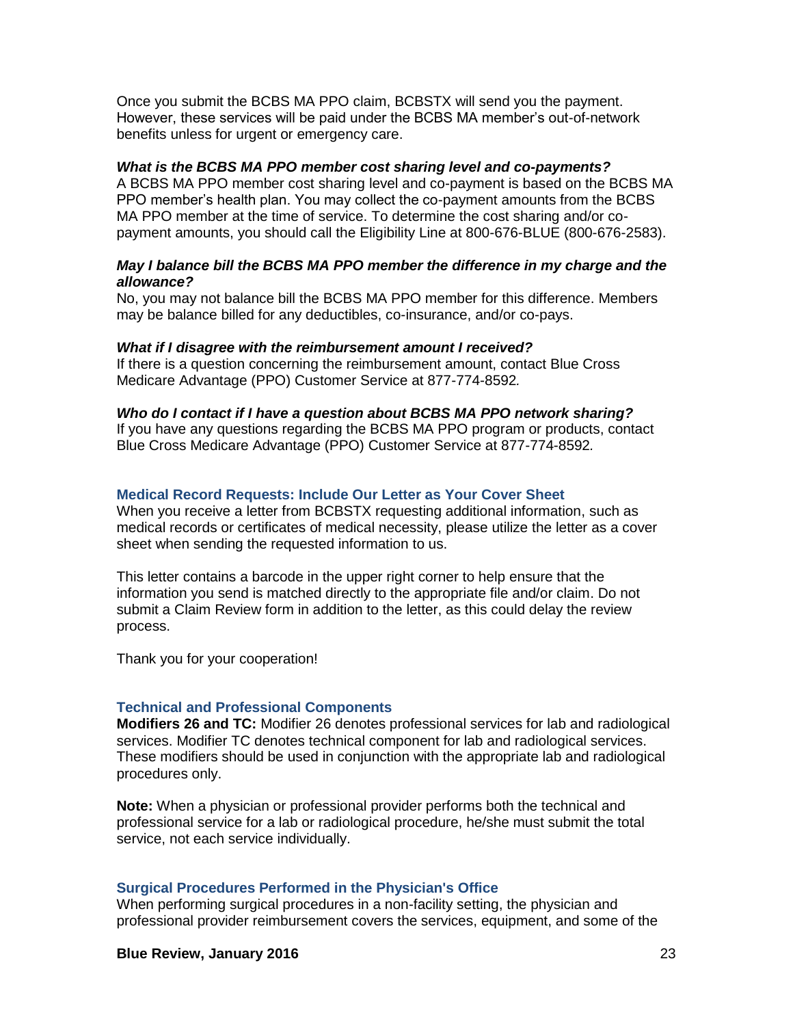Once you submit the BCBS MA PPO claim, BCBSTX will send you the payment. However, these services will be paid under the BCBS MA member's out-of-network benefits unless for urgent or emergency care.

#### *What is the BCBS MA PPO member cost sharing level and co-payments?*

A BCBS MA PPO member cost sharing level and co-payment is based on the BCBS MA PPO member's health plan. You may collect the co-payment amounts from the BCBS MA PPO member at the time of service. To determine the cost sharing and/or copayment amounts, you should call the Eligibility Line at 800-676-BLUE (800-676-2583).

### *May I balance bill the BCBS MA PPO member the difference in my charge and the allowance?*

No, you may not balance bill the BCBS MA PPO member for this difference. Members may be balance billed for any deductibles, co-insurance, and/or co-pays.

#### *What if I disagree with the reimbursement amount I received?*

If there is a question concerning the reimbursement amount, contact Blue Cross Medicare Advantage (PPO) Customer Service at 877-774-8592*.*

#### *Who do I contact if I have a question about BCBS MA PPO network sharing?*

If you have any questions regarding the BCBS MA PPO program or products, contact Blue Cross Medicare Advantage (PPO) Customer Service at 877-774-8592*.*

#### **Medical Record Requests: Include Our Letter as Your Cover Sheet**

When you receive a letter from BCBSTX requesting additional information, such as medical records or certificates of medical necessity, please utilize the letter as a cover sheet when sending the requested information to us.

This letter contains a barcode in the upper right corner to help ensure that the information you send is matched directly to the appropriate file and/or claim. Do not submit a Claim Review form in addition to the letter, as this could delay the review process.

Thank you for your cooperation!

#### **Technical and Professional Components**

**Modifiers 26 and TC:** Modifier 26 denotes professional services for lab and radiological services. Modifier TC denotes technical component for lab and radiological services. These modifiers should be used in conjunction with the appropriate lab and radiological procedures only.

**Note:** When a physician or professional provider performs both the technical and professional service for a lab or radiological procedure, he/she must submit the total service, not each service individually.

#### **Surgical Procedures Performed in the Physician's Office**

When performing surgical procedures in a non-facility setting, the physician and professional provider reimbursement covers the services, equipment, and some of the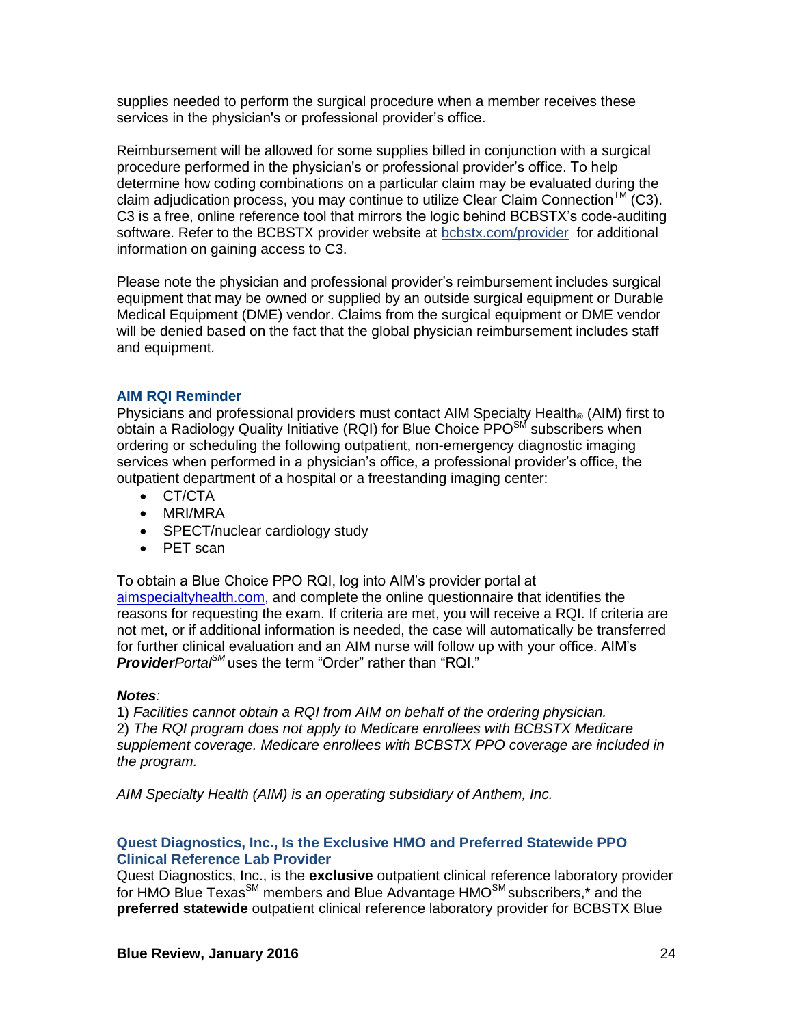supplies needed to perform the surgical procedure when a member receives these services in the physician's or professional provider's office.

Reimbursement will be allowed for some supplies billed in conjunction with a surgical procedure performed in the physician's or professional provider's office. To help determine how coding combinations on a particular claim may be evaluated during the claim adjudication process, you may continue to utilize Clear Claim Connection<sup>TM</sup> (C3). C3 is a free, online reference tool that mirrors the logic behind BCBSTX's code-auditing software. Refer to the BCBSTX provider website at [bcbstx.com/provider](http://www.bcbstx.com/provider/tools/clear_claim_connection.html) for additional information on gaining access to C3.

Please note the physician and professional provider's reimbursement includes surgical equipment that may be owned or supplied by an outside surgical equipment or Durable Medical Equipment (DME) vendor. Claims from the surgical equipment or DME vendor will be denied based on the fact that the global physician reimbursement includes staff and equipment.

### **AIM RQI Reminder**

Physicians and professional providers must contact AIM Specialty Health<sub>®</sub> (AIM) first to obtain a Radiology Quality Initiative (RQI) for Blue Choice  $PPO<sup>SM</sup>$  subscribers when ordering or scheduling the following outpatient, non-emergency diagnostic imaging services when performed in a physician's office, a professional provider's office, the outpatient department of a hospital or a freestanding imaging center:

- CT/CTA
- MRI/MRA
- SPECT/nuclear cardiology study
- PET scan

To obtain a Blue Choice PPO RQI, log into AIM's provider portal at [aimspecialtyhealth.com,](http://www.aimspecialtyhealth.com/) and complete the online questionnaire that identifies the reasons for requesting the exam. If criteria are met, you will receive a RQI. If criteria are not met, or if additional information is needed, the case will automatically be transferred for further clinical evaluation and an AIM nurse will follow up with your office. AIM's *ProviderPortalSM* uses the term "Order" rather than "RQI."

### *Notes:*

1) *Facilities cannot obtain a RQI from AIM on behalf of the ordering physician.* 2) *The RQI program does not apply to Medicare enrollees with BCBSTX Medicare supplement coverage. Medicare enrollees with BCBSTX PPO coverage are included in the program.*

*AIM Specialty Health (AIM) is an operating subsidiary of Anthem, Inc.*

## **Quest Diagnostics, Inc., Is the Exclusive HMO and Preferred Statewide PPO Clinical Reference Lab Provider**

Quest Diagnostics, Inc., is the **exclusive** outpatient clinical reference laboratory provider for HMO Blue Texas<sup>SM</sup> members and Blue Advantage HMO<sup>SM</sup> subscribers,\* and the **preferred statewide** outpatient clinical reference laboratory provider for BCBSTX Blue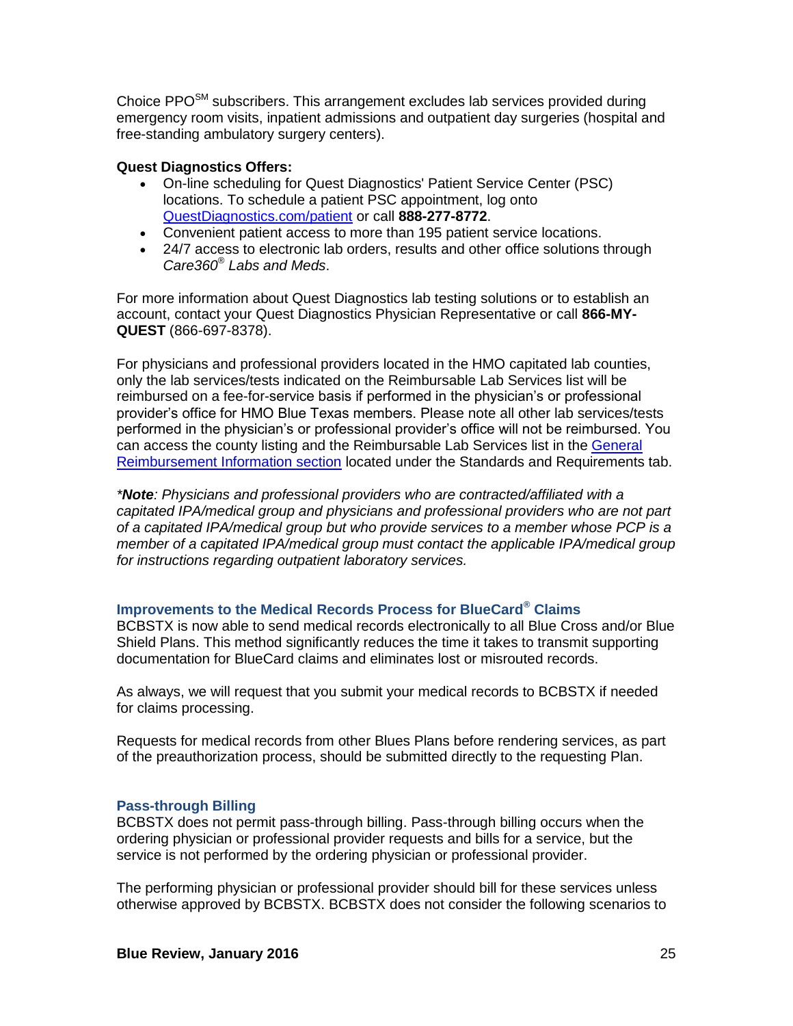Choice  $PPO<sup>SM</sup>$  subscribers. This arrangement excludes lab services provided during emergency room visits, inpatient admissions and outpatient day surgeries (hospital and free-standing ambulatory surgery centers).

## **Quest Diagnostics Offers:**

- On-line scheduling for Quest Diagnostics' Patient Service Center (PSC) locations. To schedule a patient PSC appointment, log onto [QuestDiagnostics.com/patient](http://www.questdiagnostics.com/home/patients) or call **888-277-8772**.
- Convenient patient access to more than 195 patient service locations.
- 24/7 access to electronic lab orders, results and other office solutions through *Care360® Labs and Meds*.

For more information about Quest Diagnostics lab testing solutions or to establish an account, contact your Quest Diagnostics Physician Representative or call **866-MY-QUEST** (866-697-8378).

For physicians and professional providers located in the HMO capitated lab counties, only the lab services/tests indicated on the Reimbursable Lab Services list will be reimbursed on a fee-for-service basis if performed in the physician's or professional provider's office for HMO Blue Texas members. Please note all other lab services/tests performed in the physician's or professional provider's office will not be reimbursed. You can access the county listing and the Reimbursable Lab Services list in the [General](http://www.bcbstx.com/provider/gri/index.html)  [Reimbursement Information section](http://www.bcbstx.com/provider/gri/index.html) located under the Standards and Requirements tab.

*\*Note: Physicians and professional providers who are contracted/affiliated with a capitated IPA/medical group and physicians and professional providers who are not part of a capitated IPA/medical group but who provide services to a member whose PCP is a member of a capitated IPA/medical group must contact the applicable IPA/medical group for instructions regarding outpatient laboratory services.* 

## **Improvements to the Medical Records Process for BlueCard® Claims**

BCBSTX is now able to send medical records electronically to all Blue Cross and/or Blue Shield Plans. This method significantly reduces the time it takes to transmit supporting documentation for BlueCard claims and eliminates lost or misrouted records.

As always, we will request that you submit your medical records to BCBSTX if needed for claims processing.

Requests for medical records from other Blues Plans before rendering services, as part of the preauthorization process, should be submitted directly to the requesting Plan.

### **Pass-through Billing**

BCBSTX does not permit pass-through billing. Pass-through billing occurs when the ordering physician or professional provider requests and bills for a service, but the service is not performed by the ordering physician or professional provider.

The performing physician or professional provider should bill for these services unless otherwise approved by BCBSTX. BCBSTX does not consider the following scenarios to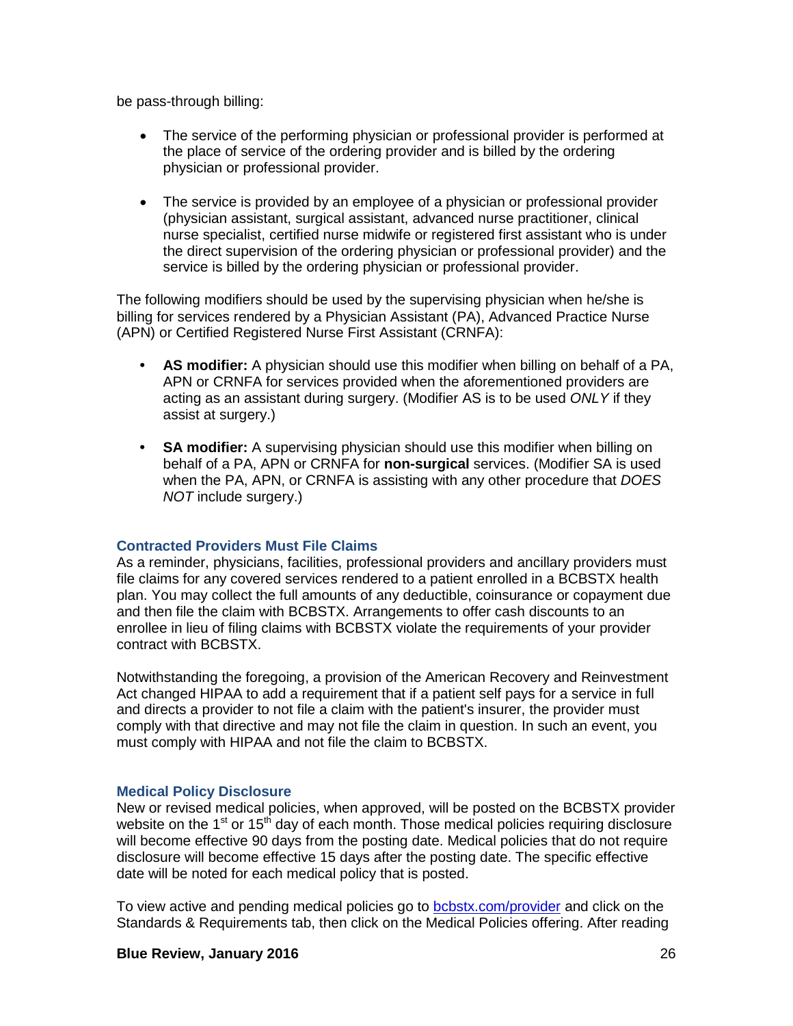be pass-through billing:

- The service of the performing physician or professional provider is performed at the place of service of the ordering provider and is billed by the ordering physician or professional provider.
- The service is provided by an employee of a physician or professional provider (physician assistant, surgical assistant, advanced nurse practitioner, clinical nurse specialist, certified nurse midwife or registered first assistant who is under the direct supervision of the ordering physician or professional provider) and the service is billed by the ordering physician or professional provider.

The following modifiers should be used by the supervising physician when he/she is billing for services rendered by a Physician Assistant (PA), Advanced Practice Nurse (APN) or Certified Registered Nurse First Assistant (CRNFA):

- **• AS modifier:** A physician should use this modifier when billing on behalf of a PA, APN or CRNFA for services provided when the aforementioned providers are acting as an assistant during surgery. (Modifier AS is to be used *ONLY* if they assist at surgery.)
- **• SA modifier:** A supervising physician should use this modifier when billing on behalf of a PA, APN or CRNFA for **non-surgical** services. (Modifier SA is used when the PA, APN, or CRNFA is assisting with any other procedure that *DOES NOT* include surgery.)

## **Contracted Providers Must File Claims**

As a reminder, physicians, facilities, professional providers and ancillary providers must file claims for any covered services rendered to a patient enrolled in a BCBSTX health plan. You may collect the full amounts of any deductible, coinsurance or copayment due and then file the claim with BCBSTX. Arrangements to offer cash discounts to an enrollee in lieu of filing claims with BCBSTX violate the requirements of your provider contract with BCBSTX.

Notwithstanding the foregoing, a provision of the American Recovery and Reinvestment Act changed HIPAA to add a requirement that if a patient self pays for a service in full and directs a provider to not file a claim with the patient's insurer, the provider must comply with that directive and may not file the claim in question. In such an event, you must comply with HIPAA and not file the claim to BCBSTX.

## **Medical Policy Disclosure**

New or revised medical policies, when approved, will be posted on the BCBSTX provider website on the  $1<sup>st</sup>$  or  $15<sup>th</sup>$  day of each month. Those medical policies requiring disclosure will become effective 90 days from the posting date. Medical policies that do not require disclosure will become effective 15 days after the posting date. The specific effective date will be noted for each medical policy that is posted.

To view active and pending medical policies go to [bcbstx.com/provider](http://www.bcbstx.com/provider) and click on the Standards & Requirements tab, then click on the Medical Policies offering. After reading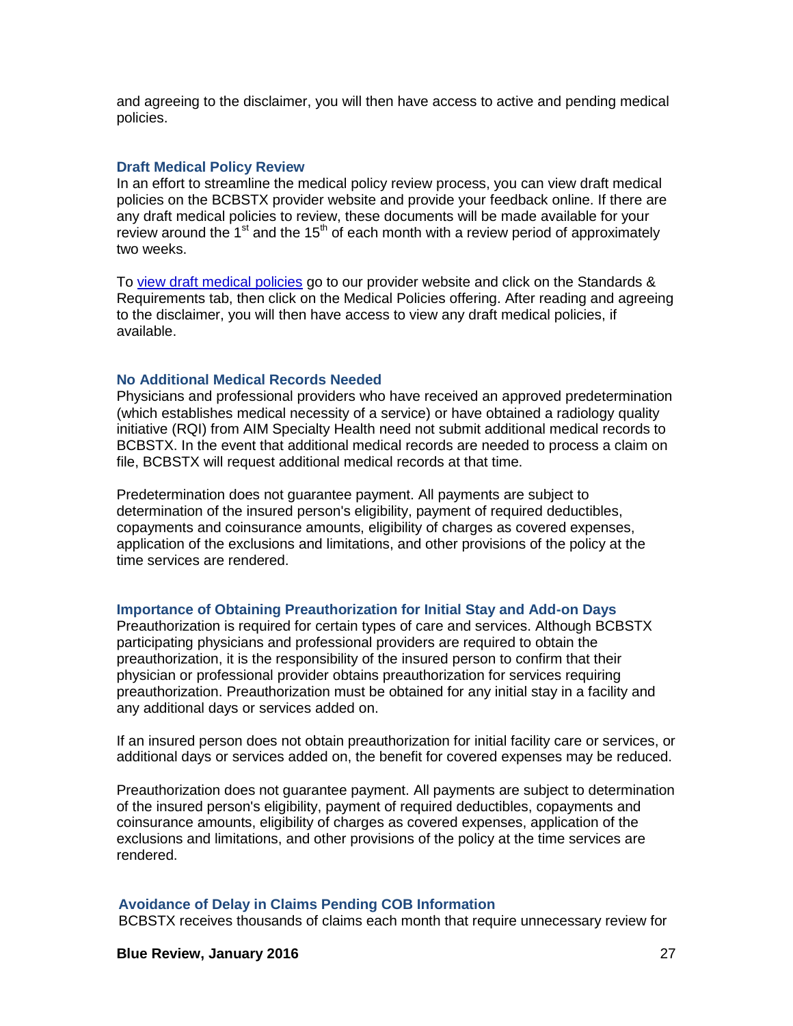and agreeing to the disclaimer, you will then have access to active and pending medical policies.

#### **Draft Medical Policy Review**

In an effort to streamline the medical policy review process, you can view draft medical policies on the BCBSTX provider website and provide your feedback online. If there are any draft medical policies to review, these documents will be made available for your review around the  $1<sup>st</sup>$  and the  $15<sup>th</sup>$  of each month with a review period of approximately two weeks.

To [view draft medical policies](http://www.medicalpolicy.hcsc.net/medicalpolicy/disclaimer?corpEntCd=TX1) go to our provider website and click on the Standards & Requirements tab, then click on the Medical Policies offering. After reading and agreeing to the disclaimer, you will then have access to view any draft medical policies, if available.

#### **No Additional Medical Records Needed**

Physicians and professional providers who have received an approved predetermination (which establishes medical necessity of a service) or have obtained a radiology quality initiative (RQI) from AIM Specialty Health need not submit additional medical records to BCBSTX. In the event that additional medical records are needed to process a claim on file, BCBSTX will request additional medical records at that time.

Predetermination does not guarantee payment. All payments are subject to determination of the insured person's eligibility, payment of required deductibles, copayments and coinsurance amounts, eligibility of charges as covered expenses, application of the exclusions and limitations, and other provisions of the policy at the time services are rendered.

#### **Importance of Obtaining Preauthorization for Initial Stay and Add-on Days**

Preauthorization is required for certain types of care and services. Although BCBSTX participating physicians and professional providers are required to obtain the preauthorization, it is the responsibility of the insured person to confirm that their physician or professional provider obtains preauthorization for services requiring preauthorization. Preauthorization must be obtained for any initial stay in a facility and any additional days or services added on.

If an insured person does not obtain preauthorization for initial facility care or services, or additional days or services added on, the benefit for covered expenses may be reduced.

Preauthorization does not guarantee payment. All payments are subject to determination of the insured person's eligibility, payment of required deductibles, copayments and coinsurance amounts, eligibility of charges as covered expenses, application of the exclusions and limitations, and other provisions of the policy at the time services are rendered.

#### **Avoidance of Delay in Claims Pending COB Information**

BCBSTX receives thousands of claims each month that require unnecessary review for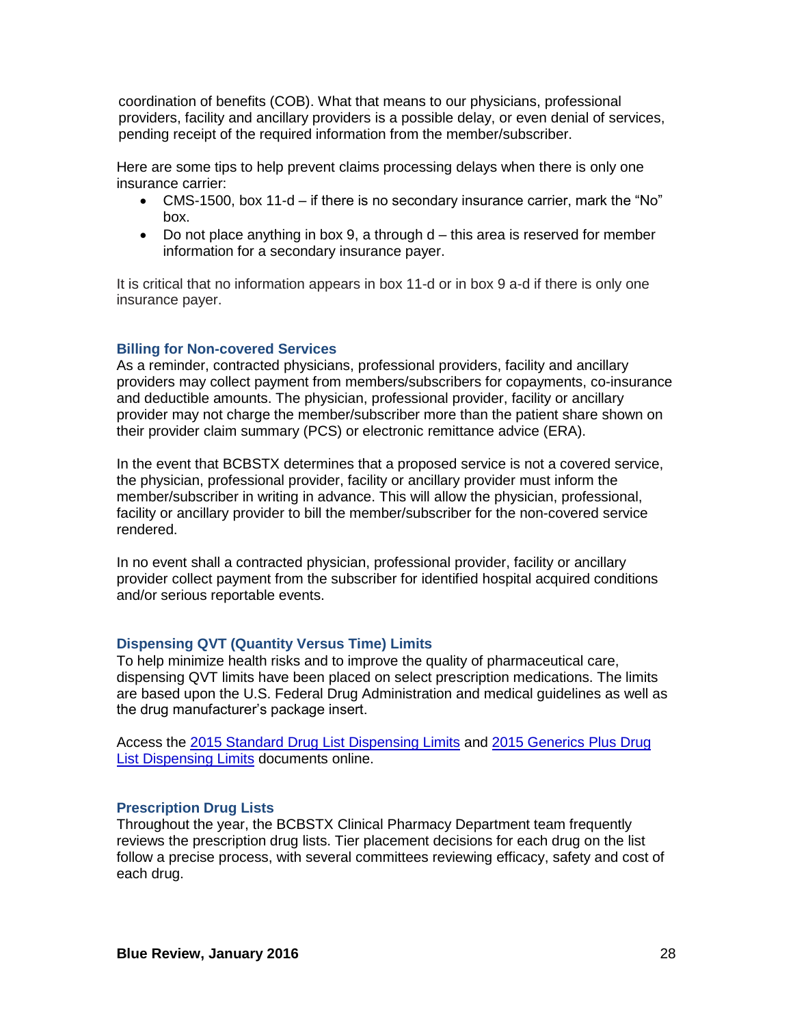coordination of benefits (COB). What that means to our physicians, professional providers, facility and ancillary providers is a possible delay, or even denial of services, pending receipt of the required information from the member/subscriber.

Here are some tips to help prevent claims processing delays when there is only one insurance carrier:

- CMS-1500, box 11-d if there is no secondary insurance carrier, mark the "No" box.
- $\bullet$  Do not place anything in box 9, a through  $d$  this area is reserved for member information for a secondary insurance payer.

It is critical that no information appears in box 11-d or in box 9 a-d if there is only one insurance payer.

### **Billing for Non-covered Services**

As a reminder, contracted physicians, professional providers, facility and ancillary providers may collect payment from members/subscribers for copayments, co-insurance and deductible amounts. The physician, professional provider, facility or ancillary provider may not charge the member/subscriber more than the patient share shown on their provider claim summary (PCS) or electronic remittance advice (ERA).

In the event that BCBSTX determines that a proposed service is not a covered service, the physician, professional provider, facility or ancillary provider must inform the member/subscriber in writing in advance. This will allow the physician, professional, facility or ancillary provider to bill the member/subscriber for the non-covered service rendered.

In no event shall a contracted physician, professional provider, facility or ancillary provider collect payment from the subscriber for identified hospital acquired conditions and/or serious reportable events.

### **Dispensing QVT (Quantity Versus Time) Limits**

To help minimize health risks and to improve the quality of pharmaceutical care, dispensing QVT limits have been placed on select prescription medications. The limits are based upon the U.S. Federal Drug Administration and medical guidelines as well as the drug manufacturer's package insert.

Access the [2015 Standard Drug List Dispensing Limits](http://www.bcbstx.com/pdf/rx/rx_dispensing_limits_std_tx.pdf) and [2015 Generics Plus Drug](http://www.bcbstx.com/pdf/rx/rx_dispensing_limits_gen_tx.pdf)  [List Dispensing Limits](http://www.bcbstx.com/pdf/rx/rx_dispensing_limits_gen_tx.pdf) documents online.

#### **Prescription Drug Lists**

Throughout the year, the BCBSTX Clinical Pharmacy Department team frequently reviews the prescription drug lists. Tier placement decisions for each drug on the list follow a precise process, with several committees reviewing efficacy, safety and cost of each drug.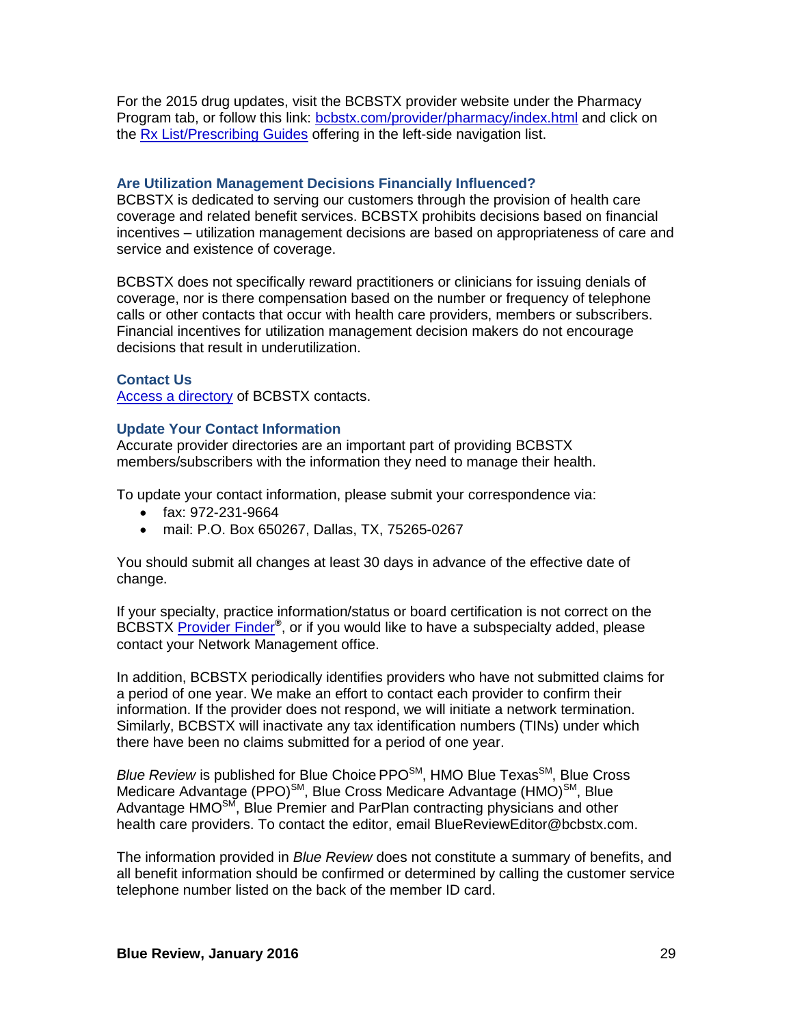For the 2015 drug updates, visit the BCBSTX provider website under the Pharmacy Program tab, or follow this link: [bcbstx.com/provider/pharmacy/index.html](http://www.bcbstx.com/provider/pharmacy/index.html) and click on the [Rx List/Prescribing Guides](http://www.bcbstx.com/provider/pharmacy/rx_list.html) offering in the left-side navigation list.

## **Are Utilization Management Decisions Financially Influenced?**

BCBSTX is dedicated to serving our customers through the provision of health care coverage and related benefit services. BCBSTX prohibits decisions based on financial incentives – utilization management decisions are based on appropriateness of care and service and existence of coverage.

BCBSTX does not specifically reward practitioners or clinicians for issuing denials of coverage, nor is there compensation based on the number or frequency of telephone calls or other contacts that occur with health care providers, members or subscribers. Financial incentives for utilization management decision makers do not encourage decisions that result in underutilization.

## **Contact Us**

[Access a directory](http://www.bcbstx.com/provider/contact_us.html) of BCBSTX contacts.

### **Update Your Contact Information**

Accurate provider directories are an important part of providing BCBSTX members/subscribers with the information they need to manage their health.

To update your contact information, please submit your correspondence via:

- fax: 972-231-9664
- mail: P.O. Box 650267, Dallas, TX, 75265-0267

You should submit all changes at least 30 days in advance of the effective date of change.

If your specialty, practice information/status or board certification is not correct on the BCBSTX [Provider Finder](http://www.bcbstx.com/find-a-doctor-or-hospital)**®** , or if you would like to have a subspecialty added, please contact your Network Management office.

In addition, BCBSTX periodically identifies providers who have not submitted claims for a period of one year. We make an effort to contact each provider to confirm their information. If the provider does not respond, we will initiate a network termination. Similarly, BCBSTX will inactivate any tax identification numbers (TINs) under which there have been no claims submitted for a period of one year.

Blue Review is published for Blue Choice PPO<sup>SM</sup>, HMO Blue Texas<sup>SM</sup>, Blue Cross Medicare Advantage (PPO)<sup>SM</sup>, Blue Cross Medicare Advantage (HMO)<sup>SM</sup>, Blue Advantage HMO<sup>SM</sup>, Blue Premier and ParPlan contracting physicians and other health care providers. To contact the editor, email BlueReviewEditor@bcbstx.com.

The information provided in *Blue Review* does not constitute a summary of benefits, and all benefit information should be confirmed or determined by calling the customer service telephone number listed on the back of the member ID card.